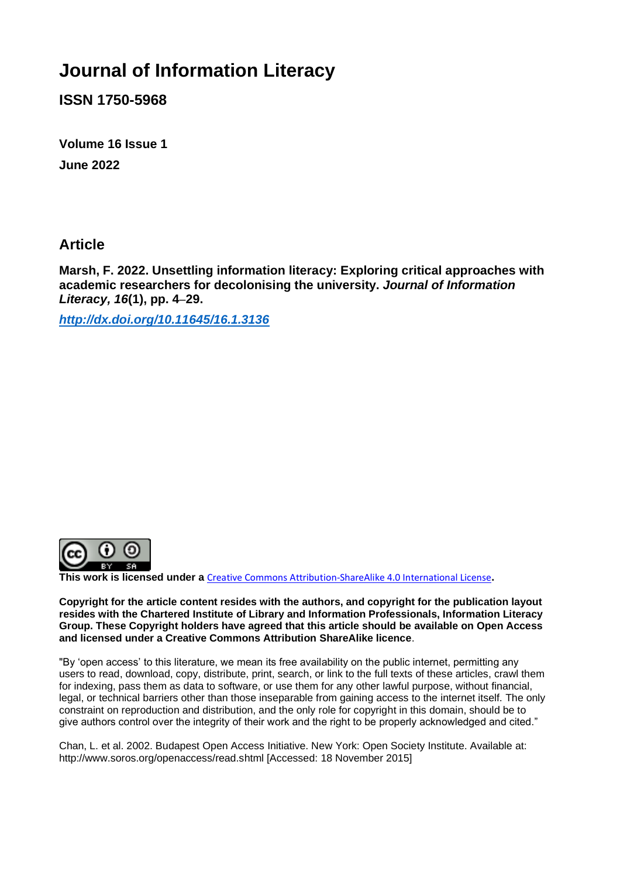# **Journal of Information Literacy**

**ISSN 1750-5968**

**Volume 16 Issue 1 June 2022**

**Article** 

**Marsh, F. 2022. Unsettling information literacy: Exploring critical approaches with academic researchers for decolonising the university.** *Journal of Information Literacy, 16***(1), pp. 4**–**29.**

*<http://dx.doi.org/10.11645/16.1.3136>*



**This work is licensed under a** [Creative Commons Attribution-ShareAlike 4.0 International License](http://creativecommons.org/licenses/by-sa/4.0/)**.**

**Copyright for the article content resides with the authors, and copyright for the publication layout resides with the Chartered Institute of Library and Information Professionals, Information Literacy Group. These Copyright holders have agreed that this article should be available on Open Access and licensed under a Creative Commons Attribution ShareAlike licence**.

"By 'open access' to this literature, we mean its free availability on the public internet, permitting any users to read, download, copy, distribute, print, search, or link to the full texts of these articles, crawl them for indexing, pass them as data to software, or use them for any other lawful purpose, without financial, legal, or technical barriers other than those inseparable from gaining access to the internet itself. The only constraint on reproduction and distribution, and the only role for copyright in this domain, should be to give authors control over the integrity of their work and the right to be properly acknowledged and cited."

Chan, L. et al. 2002. Budapest Open Access Initiative. New York: Open Society Institute. Available at: http://www.soros.org/openaccess/read.shtml [Accessed: 18 November 2015]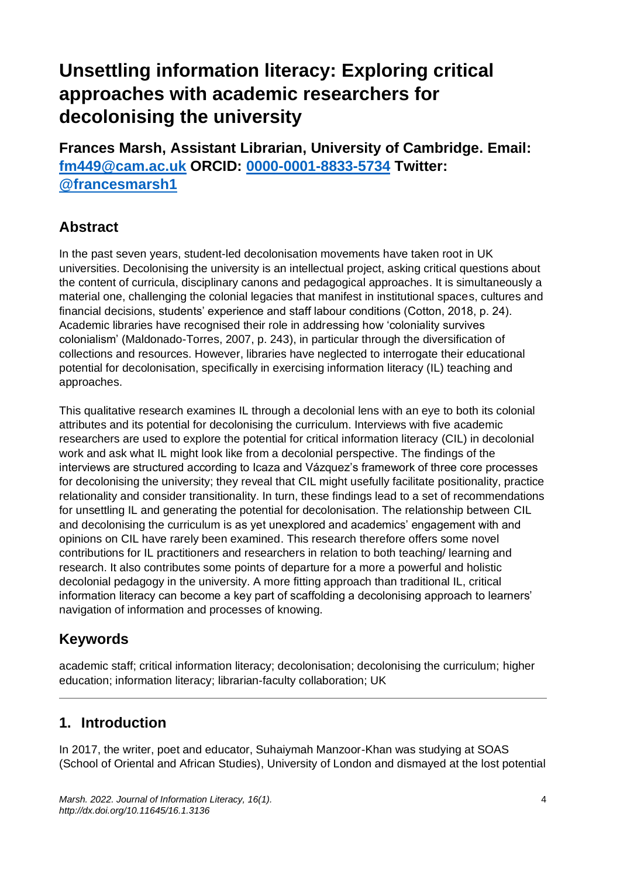# **Unsettling information literacy: Exploring critical approaches with academic researchers for decolonising the university**

**Frances Marsh, Assistant Librarian, University of Cambridge. Email: [fm449@cam.ac.uk](mailto:fm449@cam.ac.uk) ORCID: [0000-0001-8833-5734](https://orcid.org/0000-0001-8833-5734) Twitter: [@francesmarsh1](https://twitter.com/francesmarsh1)**

# **Abstract**

In the past seven years, student-led decolonisation movements have taken root in UK universities. Decolonising the university is an intellectual project, asking critical questions about the content of curricula, disciplinary canons and pedagogical approaches. It is simultaneously a material one, challenging the colonial legacies that manifest in institutional spaces, cultures and financial decisions, students' experience and staff labour conditions (Cotton, 2018, p. 24). Academic libraries have recognised their role in addressing how 'coloniality survives colonialism' (Maldonado-Torres, 2007, p. 243), in particular through the diversification of collections and resources. However, libraries have neglected to interrogate their educational potential for decolonisation, specifically in exercising information literacy (IL) teaching and approaches.

This qualitative research examines IL through a decolonial lens with an eye to both its colonial attributes and its potential for decolonising the curriculum. Interviews with five academic researchers are used to explore the potential for critical information literacy (CIL) in decolonial work and ask what IL might look like from a decolonial perspective. The findings of the interviews are structured according to Icaza and Vázquez's framework of three core processes for decolonising the university; they reveal that CIL might usefully facilitate positionality, practice relationality and consider transitionality. In turn, these findings lead to a set of recommendations for unsettling IL and generating the potential for decolonisation. The relationship between CIL and decolonising the curriculum is as yet unexplored and academics' engagement with and opinions on CIL have rarely been examined. This research therefore offers some novel contributions for IL practitioners and researchers in relation to both teaching/ learning and research. It also contributes some points of departure for a more a powerful and holistic decolonial pedagogy in the university. A more fitting approach than traditional IL, critical information literacy can become a key part of scaffolding a decolonising approach to learners' navigation of information and processes of knowing.

# **Keywords**

academic staff; critical information literacy; decolonisation; decolonising the curriculum; higher education; information literacy; librarian-faculty collaboration; UK

# **1. Introduction**

In 2017, the writer, poet and educator, Suhaiymah Manzoor-Khan was studying at SOAS (School of Oriental and African Studies), University of London and dismayed at the lost potential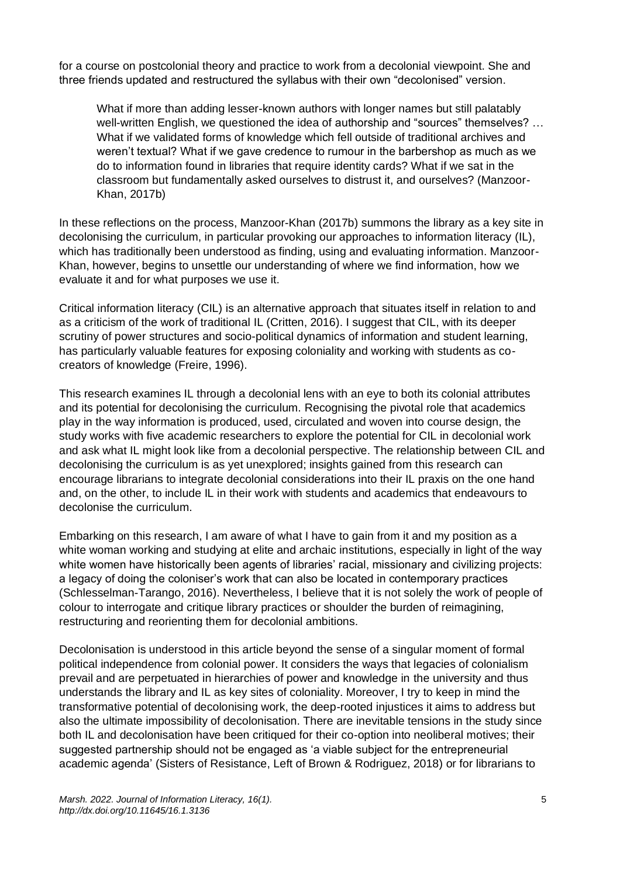for a course on postcolonial theory and practice to work from a decolonial viewpoint. She and three friends updated and restructured the syllabus with their own "decolonised" version.

What if more than adding lesser-known authors with longer names but still palatably well-written English, we questioned the idea of authorship and "sources" themselves? … What if we validated forms of knowledge which fell outside of traditional archives and weren't textual? What if we gave credence to rumour in the barbershop as much as we do to information found in libraries that require identity cards? What if we sat in the classroom but fundamentally asked ourselves to distrust it, and ourselves? (Manzoor-Khan, 2017b)

In these reflections on the process, Manzoor-Khan (2017b) summons the library as a key site in decolonising the curriculum, in particular provoking our approaches to information literacy (IL), which has traditionally been understood as finding, using and evaluating information. Manzoor-Khan, however, begins to unsettle our understanding of where we find information, how we evaluate it and for what purposes we use it.

Critical information literacy (CIL) is an alternative approach that situates itself in relation to and as a criticism of the work of traditional IL (Critten, 2016). I suggest that CIL, with its deeper scrutiny of power structures and socio-political dynamics of information and student learning, has particularly valuable features for exposing coloniality and working with students as cocreators of knowledge (Freire, 1996).

This research examines IL through a decolonial lens with an eye to both its colonial attributes and its potential for decolonising the curriculum. Recognising the pivotal role that academics play in the way information is produced, used, circulated and woven into course design, the study works with five academic researchers to explore the potential for CIL in decolonial work and ask what IL might look like from a decolonial perspective. The relationship between CIL and decolonising the curriculum is as yet unexplored; insights gained from this research can encourage librarians to integrate decolonial considerations into their IL praxis on the one hand and, on the other, to include IL in their work with students and academics that endeavours to decolonise the curriculum.

Embarking on this research, I am aware of what I have to gain from it and my position as a white woman working and studying at elite and archaic institutions, especially in light of the way white women have historically been agents of libraries' racial, missionary and civilizing projects: a legacy of doing the coloniser's work that can also be located in contemporary practices (Schlesselman-Tarango, 2016). Nevertheless, I believe that it is not solely the work of people of colour to interrogate and critique library practices or shoulder the burden of reimagining, restructuring and reorienting them for decolonial ambitions.

Decolonisation is understood in this article beyond the sense of a singular moment of formal political independence from colonial power. It considers the ways that legacies of colonialism prevail and are perpetuated in hierarchies of power and knowledge in the university and thus understands the library and IL as key sites of coloniality. Moreover, I try to keep in mind the transformative potential of decolonising work, the deep-rooted injustices it aims to address but also the ultimate impossibility of decolonisation. There are inevitable tensions in the study since both IL and decolonisation have been critiqued for their co-option into neoliberal motives; their suggested partnership should not be engaged as 'a viable subject for the entrepreneurial academic agenda' (Sisters of Resistance, Left of Brown & Rodriguez, 2018) or for librarians to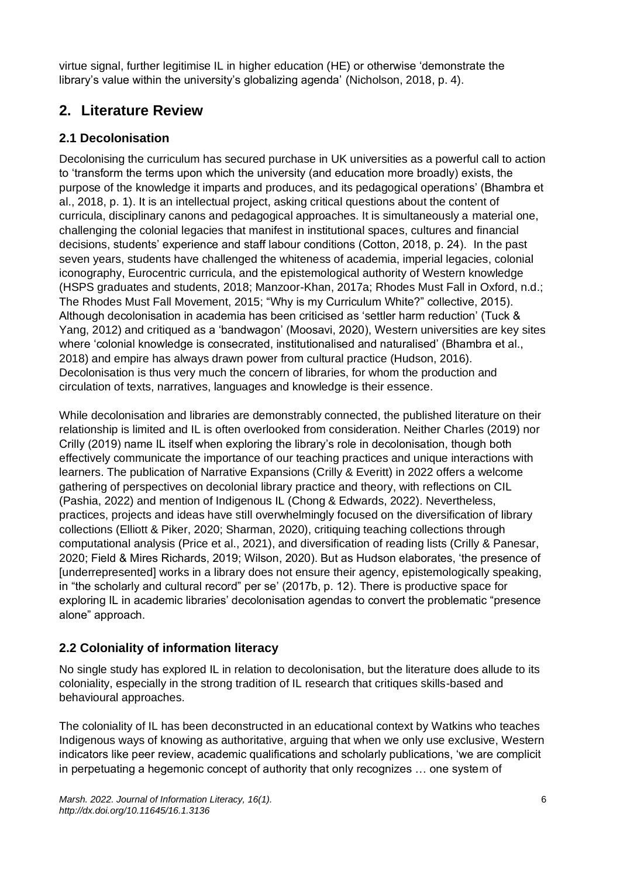virtue signal, further legitimise IL in higher education (HE) or otherwise 'demonstrate the library's value within the university's globalizing agenda' (Nicholson, 2018, p. 4).

# **2. Literature Review**

# **2.1 Decolonisation**

Decolonising the curriculum has secured purchase in UK universities as a powerful call to action to 'transform the terms upon which the university (and education more broadly) exists, the purpose of the knowledge it imparts and produces, and its pedagogical operations' (Bhambra et al., 2018, p. 1). It is an intellectual project, asking critical questions about the content of curricula, disciplinary canons and pedagogical approaches. It is simultaneously a material one, challenging the colonial legacies that manifest in institutional spaces, cultures and financial decisions, students' experience and staff labour conditions (Cotton, 2018, p. 24). In the past seven years, students have challenged the whiteness of academia, imperial legacies, colonial iconography, Eurocentric curricula, and the epistemological authority of Western knowledge (HSPS graduates and students, 2018; Manzoor-Khan, 2017a; Rhodes Must Fall in Oxford, n.d.; The Rhodes Must Fall Movement, 2015; "Why is my Curriculum White?" collective, 2015). Although decolonisation in academia has been criticised as 'settler harm reduction' (Tuck & Yang, 2012) and critiqued as a 'bandwagon' (Moosavi, 2020), Western universities are key sites where 'colonial knowledge is consecrated, institutionalised and naturalised' (Bhambra et al., 2018) and empire has always drawn power from cultural practice (Hudson, 2016). Decolonisation is thus very much the concern of libraries, for whom the production and circulation of texts, narratives, languages and knowledge is their essence.

While decolonisation and libraries are demonstrably connected, the published literature on their relationship is limited and IL is often overlooked from consideration. Neither Charles (2019) nor Crilly (2019) name IL itself when exploring the library's role in decolonisation, though both effectively communicate the importance of our teaching practices and unique interactions with learners. The publication of Narrative Expansions (Crilly & Everitt) in 2022 offers a welcome gathering of perspectives on decolonial library practice and theory, with reflections on CIL (Pashia, 2022) and mention of Indigenous IL (Chong & Edwards, 2022). Nevertheless, practices, projects and ideas have still overwhelmingly focused on the diversification of library collections (Elliott & Piker, 2020; Sharman, 2020), critiquing teaching collections through computational analysis (Price et al., 2021), and diversification of reading lists (Crilly & Panesar, 2020; Field & Mires Richards, 2019; Wilson, 2020). But as Hudson elaborates, 'the presence of [underrepresented] works in a library does not ensure their agency, epistemologically speaking, in "the scholarly and cultural record" per se' (2017b, p. 12). There is productive space for exploring IL in academic libraries' decolonisation agendas to convert the problematic "presence alone" approach.

# **2.2 Coloniality of information literacy**

No single study has explored IL in relation to decolonisation, but the literature does allude to its coloniality, especially in the strong tradition of IL research that critiques skills-based and behavioural approaches.

The coloniality of IL has been deconstructed in an educational context by Watkins who teaches Indigenous ways of knowing as authoritative, arguing that when we only use exclusive, Western indicators like peer review, academic qualifications and scholarly publications, 'we are complicit in perpetuating a hegemonic concept of authority that only recognizes … one system of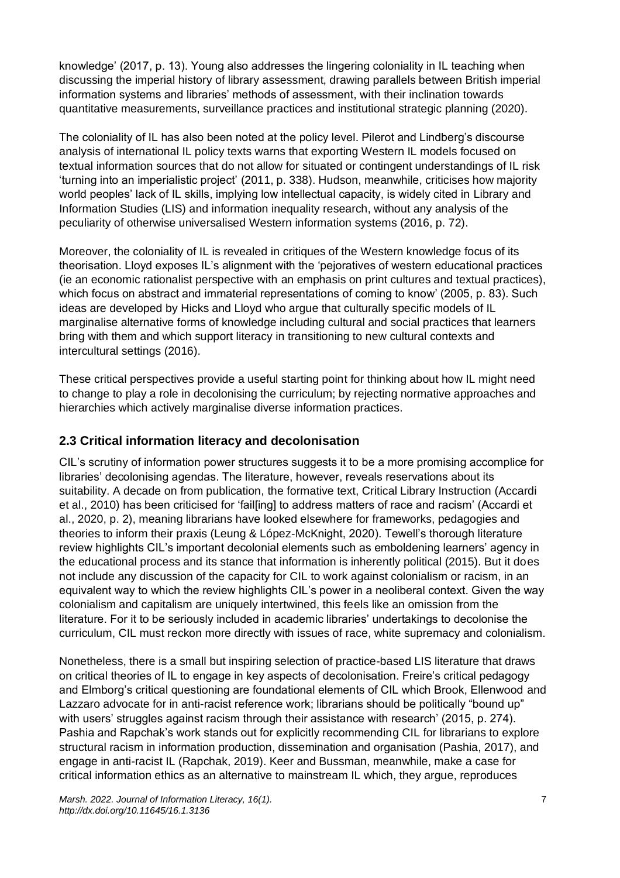knowledge' (2017, p. 13). Young also addresses the lingering coloniality in IL teaching when discussing the imperial history of library assessment, drawing parallels between British imperial information systems and libraries' methods of assessment, with their inclination towards quantitative measurements, surveillance practices and institutional strategic planning (2020).

The coloniality of IL has also been noted at the policy level. Pilerot and Lindberg's discourse analysis of international IL policy texts warns that exporting Western IL models focused on textual information sources that do not allow for situated or contingent understandings of IL risk 'turning into an imperialistic project' (2011, p. 338). Hudson, meanwhile, criticises how majority world peoples' lack of IL skills, implying low intellectual capacity, is widely cited in Library and Information Studies (LIS) and information inequality research, without any analysis of the peculiarity of otherwise universalised Western information systems (2016, p. 72).

Moreover, the coloniality of IL is revealed in critiques of the Western knowledge focus of its theorisation. Lloyd exposes IL's alignment with the 'pejoratives of western educational practices (ie an economic rationalist perspective with an emphasis on print cultures and textual practices), which focus on abstract and immaterial representations of coming to know' (2005, p. 83). Such ideas are developed by Hicks and Lloyd who argue that culturally specific models of IL marginalise alternative forms of knowledge including cultural and social practices that learners bring with them and which support literacy in transitioning to new cultural contexts and intercultural settings (2016).

These critical perspectives provide a useful starting point for thinking about how IL might need to change to play a role in decolonising the curriculum; by rejecting normative approaches and hierarchies which actively marginalise diverse information practices.

### **2.3 Critical information literacy and decolonisation**

CIL's scrutiny of information power structures suggests it to be a more promising accomplice for libraries' decolonising agendas. The literature, however, reveals reservations about its suitability. A decade on from publication, the formative text, Critical Library Instruction (Accardi et al., 2010) has been criticised for 'fail[ing] to address matters of race and racism' (Accardi et al., 2020, p. 2), meaning librarians have looked elsewhere for frameworks, pedagogies and theories to inform their praxis (Leung & López-McKnight, 2020). Tewell's thorough literature review highlights CIL's important decolonial elements such as emboldening learners' agency in the educational process and its stance that information is inherently political (2015). But it does not include any discussion of the capacity for CIL to work against colonialism or racism, in an equivalent way to which the review highlights CIL's power in a neoliberal context. Given the way colonialism and capitalism are uniquely intertwined, this feels like an omission from the literature. For it to be seriously included in academic libraries' undertakings to decolonise the curriculum, CIL must reckon more directly with issues of race, white supremacy and colonialism.

Nonetheless, there is a small but inspiring selection of practice-based LIS literature that draws on critical theories of IL to engage in key aspects of decolonisation. Freire's critical pedagogy and Elmborg's critical questioning are foundational elements of CIL which Brook, Ellenwood and Lazzaro advocate for in anti-racist reference work; librarians should be politically "bound up" with users' struggles against racism through their assistance with research' (2015, p. 274). Pashia and Rapchak's work stands out for explicitly recommending CIL for librarians to explore structural racism in information production, dissemination and organisation (Pashia, 2017), and engage in anti-racist IL (Rapchak, 2019). Keer and Bussman, meanwhile, make a case for critical information ethics as an alternative to mainstream IL which, they argue, reproduces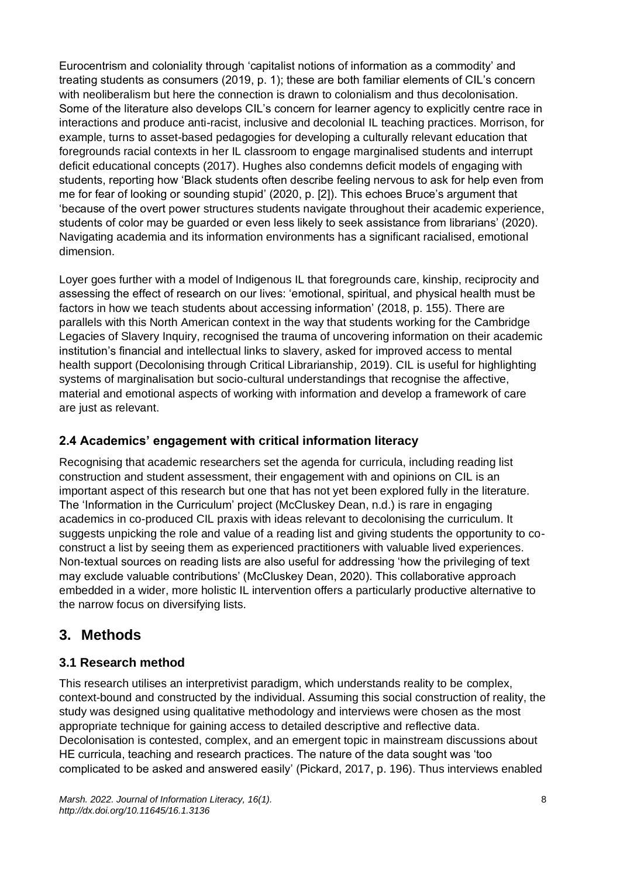Eurocentrism and coloniality through 'capitalist notions of information as a commodity' and treating students as consumers (2019, p. 1); these are both familiar elements of CIL's concern with neoliberalism but here the connection is drawn to colonialism and thus decolonisation. Some of the literature also develops CIL's concern for learner agency to explicitly centre race in interactions and produce anti-racist, inclusive and decolonial IL teaching practices. Morrison, for example, turns to asset-based pedagogies for developing a culturally relevant education that foregrounds racial contexts in her IL classroom to engage marginalised students and interrupt deficit educational concepts (2017). Hughes also condemns deficit models of engaging with students, reporting how 'Black students often describe feeling nervous to ask for help even from me for fear of looking or sounding stupid' (2020, p. [2]). This echoes Bruce's argument that 'because of the overt power structures students navigate throughout their academic experience, students of color may be guarded or even less likely to seek assistance from librarians' (2020). Navigating academia and its information environments has a significant racialised, emotional dimension.

Loyer goes further with a model of Indigenous IL that foregrounds care, kinship, reciprocity and assessing the effect of research on our lives: 'emotional, spiritual, and physical health must be factors in how we teach students about accessing information' (2018, p. 155). There are parallels with this North American context in the way that students working for the Cambridge Legacies of Slavery Inquiry, recognised the trauma of uncovering information on their academic institution's financial and intellectual links to slavery, asked for improved access to mental health support (Decolonising through Critical Librarianship, 2019). CIL is useful for highlighting systems of marginalisation but socio-cultural understandings that recognise the affective, material and emotional aspects of working with information and develop a framework of care are just as relevant.

# **2.4 Academics' engagement with critical information literacy**

Recognising that academic researchers set the agenda for curricula, including reading list construction and student assessment, their engagement with and opinions on CIL is an important aspect of this research but one that has not yet been explored fully in the literature. The 'Information in the Curriculum' project (McCluskey Dean, n.d.) is rare in engaging academics in co-produced CIL praxis with ideas relevant to decolonising the curriculum. It suggests unpicking the role and value of a reading list and giving students the opportunity to coconstruct a list by seeing them as experienced practitioners with valuable lived experiences. Non-textual sources on reading lists are also useful for addressing 'how the privileging of text may exclude valuable contributions' (McCluskey Dean, 2020). This collaborative approach embedded in a wider, more holistic IL intervention offers a particularly productive alternative to the narrow focus on diversifying lists.

# **3. Methods**

### **3.1 Research method**

This research utilises an interpretivist paradigm, which understands reality to be complex, context-bound and constructed by the individual. Assuming this social construction of reality, the study was designed using qualitative methodology and interviews were chosen as the most appropriate technique for gaining access to detailed descriptive and reflective data. Decolonisation is contested, complex, and an emergent topic in mainstream discussions about HE curricula, teaching and research practices. The nature of the data sought was 'too complicated to be asked and answered easily' (Pickard, 2017, p. 196). Thus interviews enabled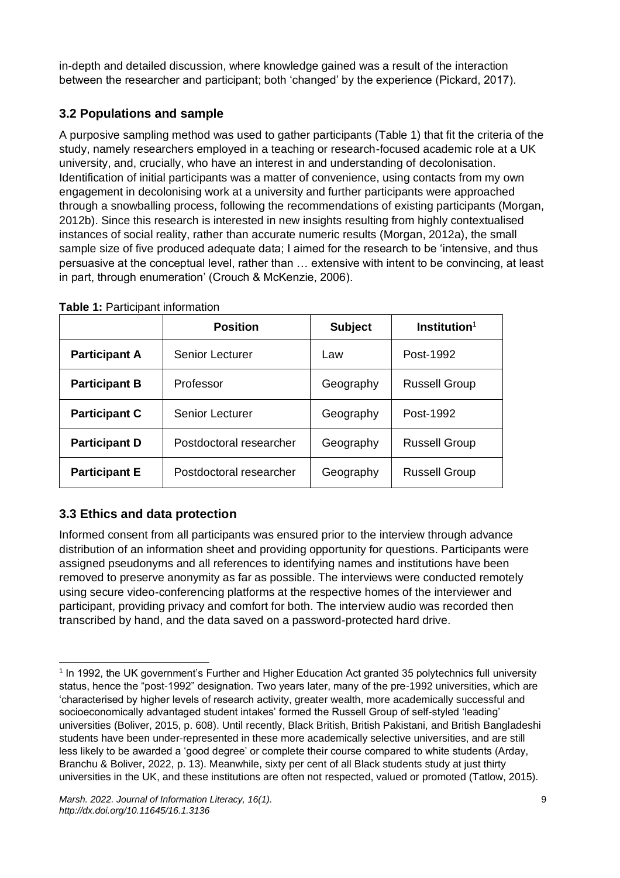in-depth and detailed discussion, where knowledge gained was a result of the interaction between the researcher and participant; both 'changed' by the experience (Pickard, 2017).

# **3.2 Populations and sample**

A purposive sampling method was used to gather participants (Table 1) that fit the criteria of the study, namely researchers employed in a teaching or research-focused academic role at a UK university, and, crucially, who have an interest in and understanding of decolonisation. Identification of initial participants was a matter of convenience, using contacts from my own engagement in decolonising work at a university and further participants were approached through a snowballing process, following the recommendations of existing participants (Morgan, 2012b). Since this research is interested in new insights resulting from highly contextualised instances of social reality, rather than accurate numeric results (Morgan, 2012a), the small sample size of five produced adequate data; I aimed for the research to be 'intensive, and thus persuasive at the conceptual level, rather than … extensive with intent to be convincing, at least in part, through enumeration' (Crouch & McKenzie, 2006).

|                      | <b>Position</b>         | <b>Subject</b> | Institution <sup>1</sup> |
|----------------------|-------------------------|----------------|--------------------------|
| <b>Participant A</b> | <b>Senior Lecturer</b>  | Law            | Post-1992                |
| <b>Participant B</b> | Professor               | Geography      | <b>Russell Group</b>     |
| <b>Participant C</b> | Senior Lecturer         | Geography      | Post-1992                |
| <b>Participant D</b> | Postdoctoral researcher | Geography      | <b>Russell Group</b>     |
| <b>Participant E</b> | Postdoctoral researcher | Geography      | <b>Russell Group</b>     |

| <b>Table 1: Participant information</b> |  |
|-----------------------------------------|--|
|-----------------------------------------|--|

# **3.3 Ethics and data protection**

Informed consent from all participants was ensured prior to the interview through advance distribution of an information sheet and providing opportunity for questions. Participants were assigned pseudonyms and all references to identifying names and institutions have been removed to preserve anonymity as far as possible. The interviews were conducted remotely using secure video-conferencing platforms at the respective homes of the interviewer and participant, providing privacy and comfort for both. The interview audio was recorded then transcribed by hand, and the data saved on a password-protected hard drive.

<sup>1</sup> In 1992, the UK government's Further and Higher Education Act granted 35 polytechnics full university status, hence the "post-1992" designation. Two years later, many of the pre-1992 universities, which are 'characterised by higher levels of research activity, greater wealth, more academically successful and socioeconomically advantaged student intakes' formed the Russell Group of self-styled 'leading' universities (Boliver, 2015, p. 608). Until recently, Black British, British Pakistani, and British Bangladeshi students have been under-represented in these more academically selective universities, and are still less likely to be awarded a 'good degree' or complete their course compared to white students (Arday, Branchu & Boliver, 2022, p. 13). Meanwhile, sixty per cent of all Black students study at just thirty universities in the UK, and these institutions are often not respected, valued or promoted (Tatlow, 2015).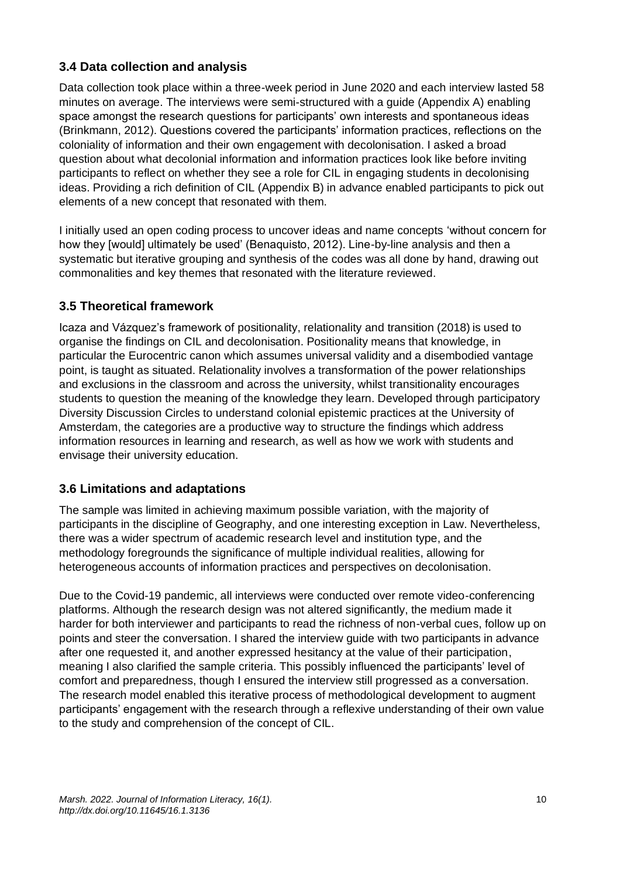### **3.4 Data collection and analysis**

Data collection took place within a three-week period in June 2020 and each interview lasted 58 minutes on average. The interviews were semi-structured with a guide (Appendix A) enabling space amongst the research questions for participants' own interests and spontaneous ideas (Brinkmann, 2012). Questions covered the participants' information practices, reflections on the coloniality of information and their own engagement with decolonisation. I asked a broad question about what decolonial information and information practices look like before inviting participants to reflect on whether they see a role for CIL in engaging students in decolonising ideas. Providing a rich definition of CIL (Appendix B) in advance enabled participants to pick out elements of a new concept that resonated with them.

I initially used an open coding process to uncover ideas and name concepts 'without concern for how they [would] ultimately be used' (Benaquisto, 2012). Line-by-line analysis and then a systematic but iterative grouping and synthesis of the codes was all done by hand, drawing out commonalities and key themes that resonated with the literature reviewed.

### **3.5 Theoretical framework**

Icaza and Vázquez's framework of positionality, relationality and transition (2018) is used to organise the findings on CIL and decolonisation. Positionality means that knowledge, in particular the Eurocentric canon which assumes universal validity and a disembodied vantage point, is taught as situated. Relationality involves a transformation of the power relationships and exclusions in the classroom and across the university, whilst transitionality encourages students to question the meaning of the knowledge they learn. Developed through participatory Diversity Discussion Circles to understand colonial epistemic practices at the University of Amsterdam, the categories are a productive way to structure the findings which address information resources in learning and research, as well as how we work with students and envisage their university education.

### **3.6 Limitations and adaptations**

The sample was limited in achieving maximum possible variation, with the majority of participants in the discipline of Geography, and one interesting exception in Law. Nevertheless, there was a wider spectrum of academic research level and institution type, and the methodology foregrounds the significance of multiple individual realities, allowing for heterogeneous accounts of information practices and perspectives on decolonisation.

Due to the Covid-19 pandemic, all interviews were conducted over remote video-conferencing platforms. Although the research design was not altered significantly, the medium made it harder for both interviewer and participants to read the richness of non-verbal cues, follow up on points and steer the conversation. I shared the interview guide with two participants in advance after one requested it, and another expressed hesitancy at the value of their participation, meaning I also clarified the sample criteria. This possibly influenced the participants' level of comfort and preparedness, though I ensured the interview still progressed as a conversation. The research model enabled this iterative process of methodological development to augment participants' engagement with the research through a reflexive understanding of their own value to the study and comprehension of the concept of CIL.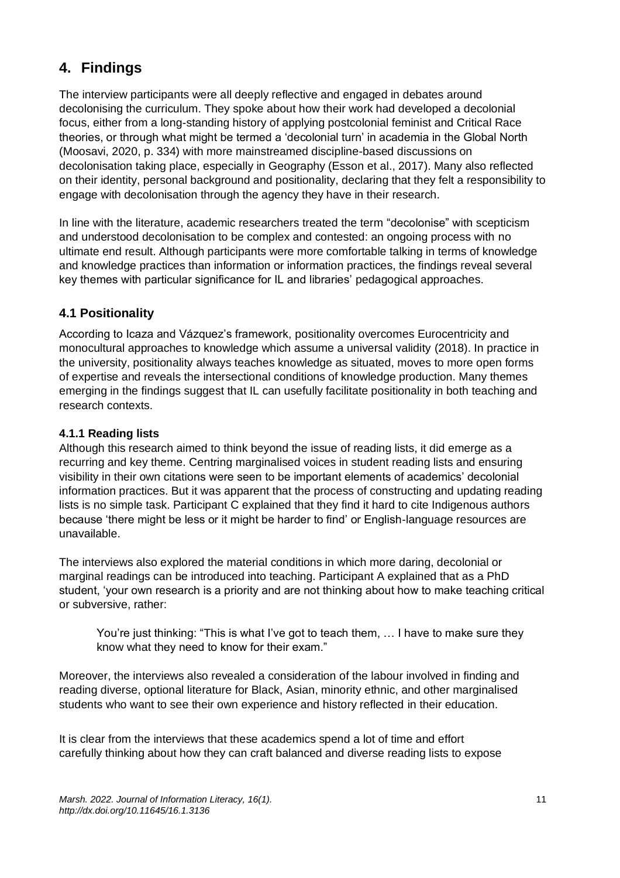# **4. Findings**

The interview participants were all deeply reflective and engaged in debates around decolonising the curriculum. They spoke about how their work had developed a decolonial focus, either from a long-standing history of applying postcolonial feminist and Critical Race theories, or through what might be termed a 'decolonial turn' in academia in the Global North (Moosavi, 2020, p. 334) with more mainstreamed discipline-based discussions on decolonisation taking place, especially in Geography (Esson et al., 2017). Many also reflected on their identity, personal background and positionality, declaring that they felt a responsibility to engage with decolonisation through the agency they have in their research.

In line with the literature, academic researchers treated the term "decolonise" with scepticism and understood decolonisation to be complex and contested: an ongoing process with no ultimate end result. Although participants were more comfortable talking in terms of knowledge and knowledge practices than information or information practices, the findings reveal several key themes with particular significance for IL and libraries' pedagogical approaches.

## **4.1 Positionality**

According to Icaza and Vázquez's framework, positionality overcomes Eurocentricity and monocultural approaches to knowledge which assume a universal validity (2018). In practice in the university, positionality always teaches knowledge as situated, moves to more open forms of expertise and reveals the intersectional conditions of knowledge production. Many themes emerging in the findings suggest that IL can usefully facilitate positionality in both teaching and research contexts.

#### **4.1.1 Reading lists**

Although this research aimed to think beyond the issue of reading lists, it did emerge as a recurring and key theme. Centring marginalised voices in student reading lists and ensuring visibility in their own citations were seen to be important elements of academics' decolonial information practices. But it was apparent that the process of constructing and updating reading lists is no simple task. Participant C explained that they find it hard to cite Indigenous authors because 'there might be less or it might be harder to find' or English-language resources are unavailable.

The interviews also explored the material conditions in which more daring, decolonial or marginal readings can be introduced into teaching. Participant A explained that as a PhD student, 'your own research is a priority and are not thinking about how to make teaching critical or subversive, rather:

You're just thinking: "This is what I've got to teach them, … I have to make sure they know what they need to know for their exam."

Moreover, the interviews also revealed a consideration of the labour involved in finding and reading diverse, optional literature for Black, Asian, minority ethnic, and other marginalised students who want to see their own experience and history reflected in their education.

It is clear from the interviews that these academics spend a lot of time and effort carefully thinking about how they can craft balanced and diverse reading lists to expose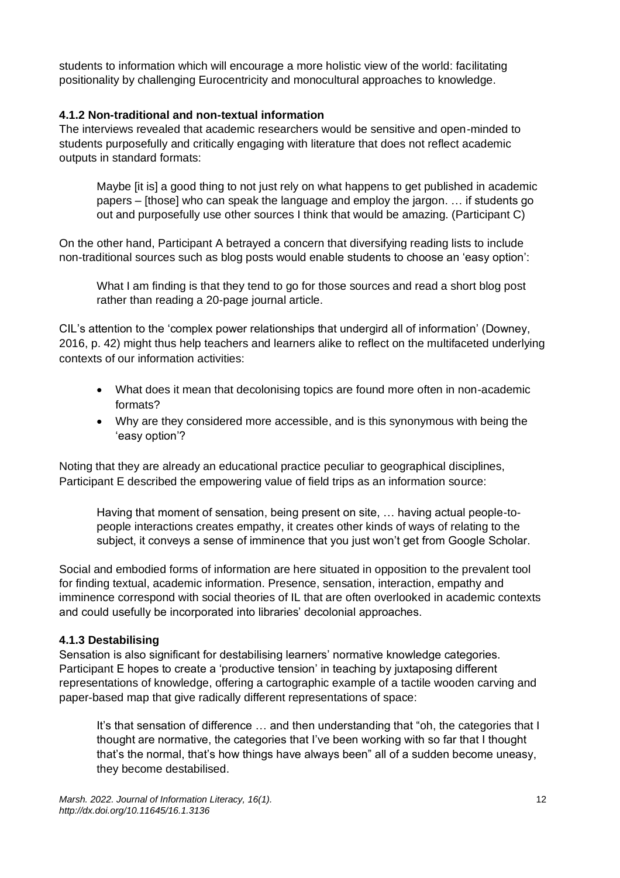students to information which will encourage a more holistic view of the world: facilitating positionality by challenging Eurocentricity and monocultural approaches to knowledge.

#### **4.1.2 Non-traditional and non-textual information**

The interviews revealed that academic researchers would be sensitive and open-minded to students purposefully and critically engaging with literature that does not reflect academic outputs in standard formats:

Maybe [it is] a good thing to not just rely on what happens to get published in academic papers – [those] who can speak the language and employ the jargon. … if students go out and purposefully use other sources I think that would be amazing. (Participant C)

On the other hand, Participant A betrayed a concern that diversifying reading lists to include non-traditional sources such as blog posts would enable students to choose an 'easy option':

What I am finding is that they tend to go for those sources and read a short blog post rather than reading a 20-page journal article.

CIL's attention to the 'complex power relationships that undergird all of information' (Downey, 2016, p. 42) might thus help teachers and learners alike to reflect on the multifaceted underlying contexts of our information activities:

- What does it mean that decolonising topics are found more often in non-academic formats?
- Why are they considered more accessible, and is this synonymous with being the 'easy option'?

Noting that they are already an educational practice peculiar to geographical disciplines, Participant E described the empowering value of field trips as an information source:

Having that moment of sensation, being present on site, … having actual people-topeople interactions creates empathy, it creates other kinds of ways of relating to the subject, it conveys a sense of imminence that you just won't get from Google Scholar.

Social and embodied forms of information are here situated in opposition to the prevalent tool for finding textual, academic information. Presence, sensation, interaction, empathy and imminence correspond with social theories of IL that are often overlooked in academic contexts and could usefully be incorporated into libraries' decolonial approaches.

#### **4.1.3 Destabilising**

Sensation is also significant for destabilising learners' normative knowledge categories. Participant E hopes to create a 'productive tension' in teaching by juxtaposing different representations of knowledge, offering a cartographic example of a tactile wooden carving and paper-based map that give radically different representations of space:

It's that sensation of difference … and then understanding that "oh, the categories that I thought are normative, the categories that I've been working with so far that I thought that's the normal, that's how things have always been" all of a sudden become uneasy, they become destabilised.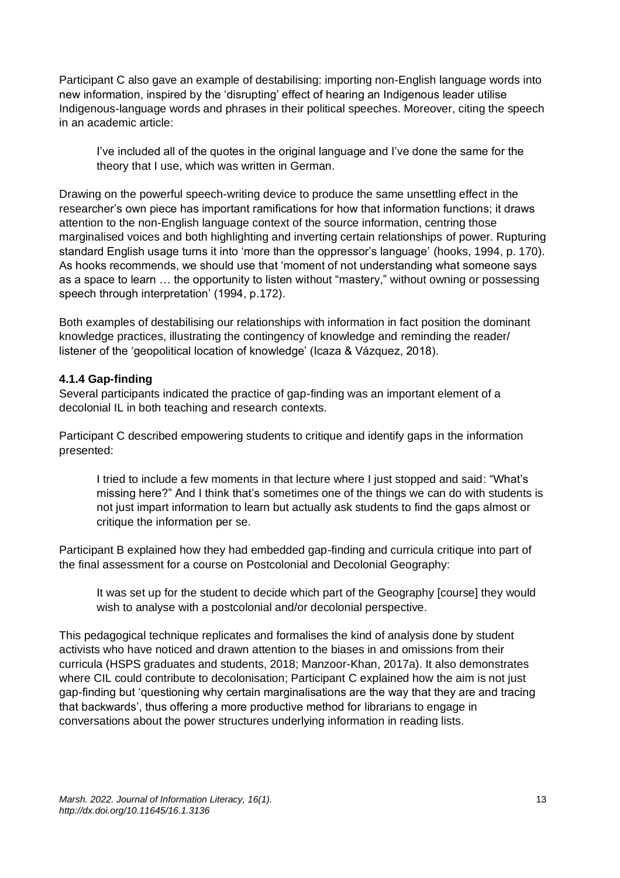Participant C also gave an example of destabilising: importing non-English language words into new information, inspired by the 'disrupting' effect of hearing an Indigenous leader utilise Indigenous-language words and phrases in their political speeches. Moreover, citing the speech in an academic article:

I've included all of the quotes in the original language and I've done the same for the theory that I use, which was written in German.

Drawing on the powerful speech-writing device to produce the same unsettling effect in the researcher's own piece has important ramifications for how that information functions; it draws attention to the non-English language context of the source information, centring those marginalised voices and both highlighting and inverting certain relationships of power. Rupturing standard English usage turns it into 'more than the oppressor's language' (hooks, 1994, p. 170). As hooks recommends, we should use that 'moment of not understanding what someone says as a space to learn … the opportunity to listen without "mastery," without owning or possessing speech through interpretation' (1994, p.172).

Both examples of destabilising our relationships with information in fact position the dominant knowledge practices, illustrating the contingency of knowledge and reminding the reader/ listener of the 'geopolitical location of knowledge' (Icaza & Vázquez, 2018).

#### **4.1.4 Gap-finding**

Several participants indicated the practice of gap-finding was an important element of a decolonial IL in both teaching and research contexts.

Participant C described empowering students to critique and identify gaps in the information presented:

I tried to include a few moments in that lecture where I just stopped and said: "What's missing here?" And I think that's sometimes one of the things we can do with students is not just impart information to learn but actually ask students to find the gaps almost or critique the information per se.

Participant B explained how they had embedded gap-finding and curricula critique into part of the final assessment for a course on Postcolonial and Decolonial Geography:

It was set up for the student to decide which part of the Geography [course] they would wish to analyse with a postcolonial and/or decolonial perspective.

This pedagogical technique replicates and formalises the kind of analysis done by student activists who have noticed and drawn attention to the biases in and omissions from their curricula (HSPS graduates and students, 2018; Manzoor-Khan, 2017a). It also demonstrates where CIL could contribute to decolonisation; Participant C explained how the aim is not just gap-finding but 'questioning why certain marginalisations are the way that they are and tracing that backwards', thus offering a more productive method for librarians to engage in conversations about the power structures underlying information in reading lists.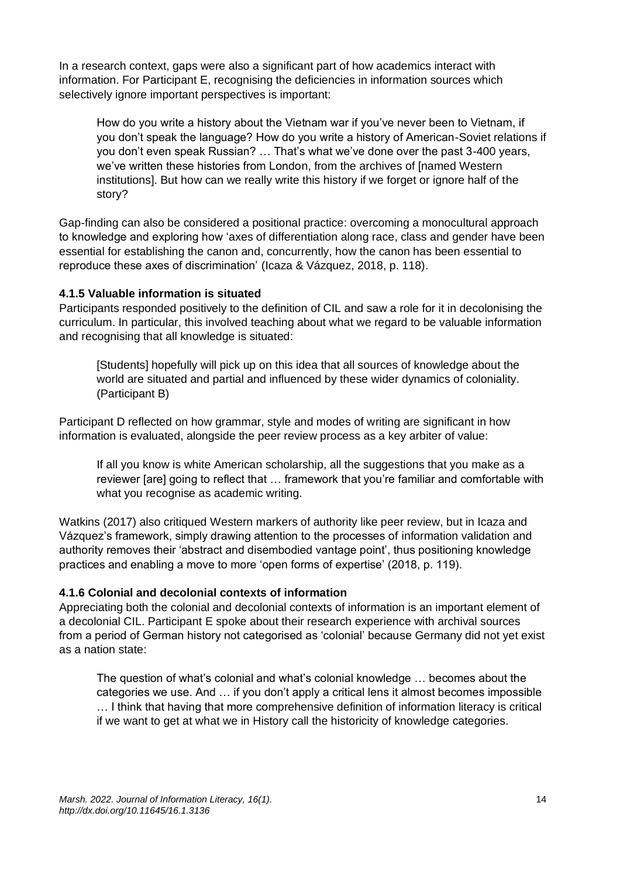In a research context, gaps were also a significant part of how academics interact with information. For Participant E, recognising the deficiencies in information sources which selectively ignore important perspectives is important:

How do you write a history about the Vietnam war if you've never been to Vietnam, if you don't speak the language? How do you write a history of American-Soviet relations if you don't even speak Russian? … That's what we've done over the past 3-400 years, we've written these histories from London, from the archives of [named Western institutions]. But how can we really write this history if we forget or ignore half of the story?

Gap-finding can also be considered a positional practice: overcoming a monocultural approach to knowledge and exploring how 'axes of differentiation along race, class and gender have been essential for establishing the canon and, concurrently, how the canon has been essential to reproduce these axes of discrimination' (Icaza & Vázquez, 2018, p. 118).

#### **4.1.5 Valuable information is situated**

Participants responded positively to the definition of CIL and saw a role for it in decolonising the curriculum. In particular, this involved teaching about what we regard to be valuable information and recognising that all knowledge is situated:

[Students] hopefully will pick up on this idea that all sources of knowledge about the world are situated and partial and influenced by these wider dynamics of coloniality. (Participant B)

Participant D reflected on how grammar, style and modes of writing are significant in how information is evaluated, alongside the peer review process as a key arbiter of value:

If all you know is white American scholarship, all the suggestions that you make as a reviewer [are] going to reflect that … framework that you're familiar and comfortable with what you recognise as academic writing.

Watkins (2017) also critiqued Western markers of authority like peer review, but in Icaza and Vázquez's framework, simply drawing attention to the processes of information validation and authority removes their 'abstract and disembodied vantage point', thus positioning knowledge practices and enabling a move to more 'open forms of expertise' (2018, p. 119).

#### **4.1.6 Colonial and decolonial contexts of information**

Appreciating both the colonial and decolonial contexts of information is an important element of a decolonial CIL. Participant E spoke about their research experience with archival sources from a period of German history not categorised as 'colonial' because Germany did not yet exist as a nation state:

The question of what's colonial and what's colonial knowledge … becomes about the categories we use. And … if you don't apply a critical lens it almost becomes impossible … I think that having that more comprehensive definition of information literacy is critical if we want to get at what we in History call the historicity of knowledge categories.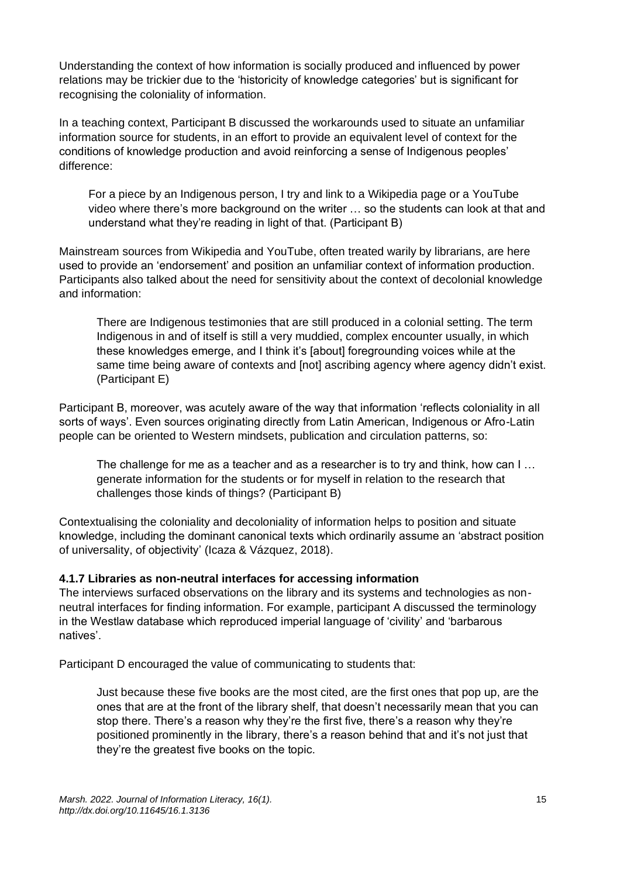Understanding the context of how information is socially produced and influenced by power relations may be trickier due to the 'historicity of knowledge categories' but is significant for recognising the coloniality of information.

In a teaching context, Participant B discussed the workarounds used to situate an unfamiliar information source for students, in an effort to provide an equivalent level of context for the conditions of knowledge production and avoid reinforcing a sense of Indigenous peoples' difference:

For a piece by an Indigenous person, I try and link to a Wikipedia page or a YouTube video where there's more background on the writer … so the students can look at that and understand what they're reading in light of that. (Participant B)

Mainstream sources from Wikipedia and YouTube, often treated warily by librarians, are here used to provide an 'endorsement' and position an unfamiliar context of information production. Participants also talked about the need for sensitivity about the context of decolonial knowledge and information:

There are Indigenous testimonies that are still produced in a colonial setting. The term Indigenous in and of itself is still a very muddied, complex encounter usually, in which these knowledges emerge, and I think it's [about] foregrounding voices while at the same time being aware of contexts and [not] ascribing agency where agency didn't exist. (Participant E)

Participant B, moreover, was acutely aware of the way that information 'reflects coloniality in all sorts of ways'. Even sources originating directly from Latin American, Indigenous or Afro-Latin people can be oriented to Western mindsets, publication and circulation patterns, so:

The challenge for me as a teacher and as a researcher is to try and think, how can I ... generate information for the students or for myself in relation to the research that challenges those kinds of things? (Participant B)

Contextualising the coloniality and decoloniality of information helps to position and situate knowledge, including the dominant canonical texts which ordinarily assume an 'abstract position of universality, of objectivity' (Icaza & Vázquez, 2018).

#### **4.1.7 Libraries as non-neutral interfaces for accessing information**

The interviews surfaced observations on the library and its systems and technologies as nonneutral interfaces for finding information. For example, participant A discussed the terminology in the Westlaw database which reproduced imperial language of 'civility' and 'barbarous natives'.

Participant D encouraged the value of communicating to students that:

Just because these five books are the most cited, are the first ones that pop up, are the ones that are at the front of the library shelf, that doesn't necessarily mean that you can stop there. There's a reason why they're the first five, there's a reason why they're positioned prominently in the library, there's a reason behind that and it's not just that they're the greatest five books on the topic.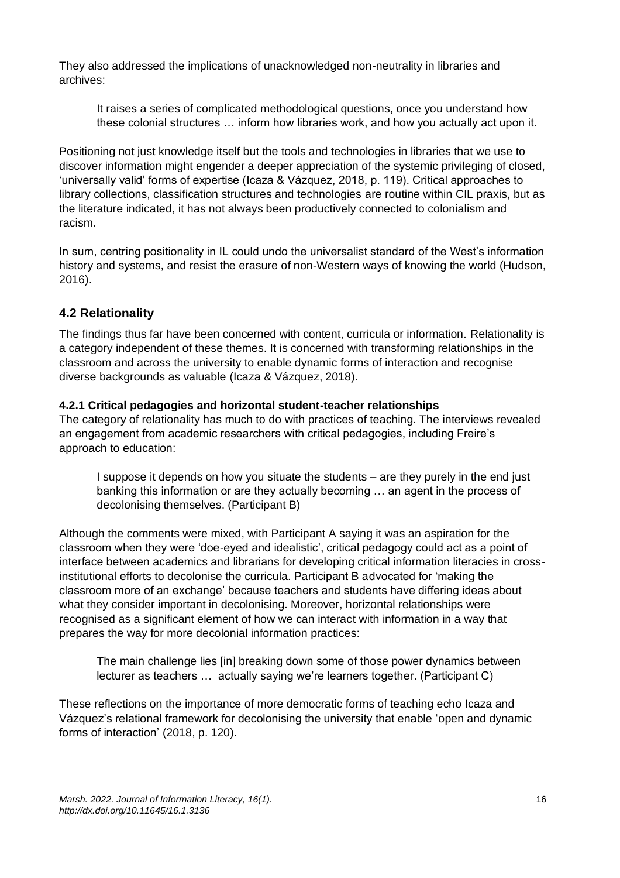They also addressed the implications of unacknowledged non-neutrality in libraries and archives:

It raises a series of complicated methodological questions, once you understand how these colonial structures … inform how libraries work, and how you actually act upon it.

Positioning not just knowledge itself but the tools and technologies in libraries that we use to discover information might engender a deeper appreciation of the systemic privileging of closed, 'universally valid' forms of expertise (Icaza & Vázquez, 2018, p. 119). Critical approaches to library collections, classification structures and technologies are routine within CIL praxis, but as the literature indicated, it has not always been productively connected to colonialism and racism.

In sum, centring positionality in IL could undo the universalist standard of the West's information history and systems, and resist the erasure of non-Western ways of knowing the world (Hudson, 2016).

#### **4.2 Relationality**

The findings thus far have been concerned with content, curricula or information. Relationality is a category independent of these themes. It is concerned with transforming relationships in the classroom and across the university to enable dynamic forms of interaction and recognise diverse backgrounds as valuable (Icaza & Vázquez, 2018).

#### **4.2.1 Critical pedagogies and horizontal student-teacher relationships**

The category of relationality has much to do with practices of teaching. The interviews revealed an engagement from academic researchers with critical pedagogies, including Freire's approach to education:

I suppose it depends on how you situate the students – are they purely in the end just banking this information or are they actually becoming … an agent in the process of decolonising themselves. (Participant B)

Although the comments were mixed, with Participant A saying it was an aspiration for the classroom when they were 'doe-eyed and idealistic', critical pedagogy could act as a point of interface between academics and librarians for developing critical information literacies in crossinstitutional efforts to decolonise the curricula. Participant B advocated for 'making the classroom more of an exchange' because teachers and students have differing ideas about what they consider important in decolonising. Moreover, horizontal relationships were recognised as a significant element of how we can interact with information in a way that prepares the way for more decolonial information practices:

The main challenge lies [in] breaking down some of those power dynamics between lecturer as teachers … actually saying we're learners together. (Participant C)

These reflections on the importance of more democratic forms of teaching echo Icaza and Vázquez's relational framework for decolonising the university that enable 'open and dynamic forms of interaction' (2018, p. 120).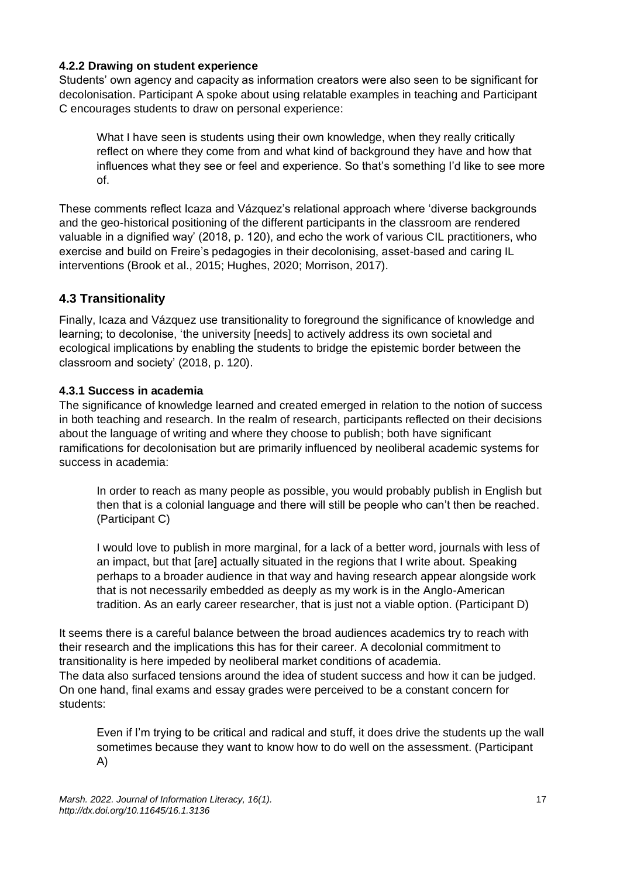#### **4.2.2 Drawing on student experience**

Students' own agency and capacity as information creators were also seen to be significant for decolonisation. Participant A spoke about using relatable examples in teaching and Participant C encourages students to draw on personal experience:

What I have seen is students using their own knowledge, when they really critically reflect on where they come from and what kind of background they have and how that influences what they see or feel and experience. So that's something I'd like to see more of.

These comments reflect Icaza and Vázquez's relational approach where 'diverse backgrounds and the geo-historical positioning of the different participants in the classroom are rendered valuable in a dignified way' (2018, p. 120), and echo the work of various CIL practitioners, who exercise and build on Freire's pedagogies in their decolonising, asset-based and caring IL interventions (Brook et al., 2015; Hughes, 2020; Morrison, 2017).

## **4.3 Transitionality**

Finally, Icaza and Vázquez use transitionality to foreground the significance of knowledge and learning; to decolonise, 'the university [needs] to actively address its own societal and ecological implications by enabling the students to bridge the epistemic border between the classroom and society' (2018, p. 120).

#### **4.3.1 Success in academia**

The significance of knowledge learned and created emerged in relation to the notion of success in both teaching and research. In the realm of research, participants reflected on their decisions about the language of writing and where they choose to publish; both have significant ramifications for decolonisation but are primarily influenced by neoliberal academic systems for success in academia:

In order to reach as many people as possible, you would probably publish in English but then that is a colonial language and there will still be people who can't then be reached. (Participant C)

I would love to publish in more marginal, for a lack of a better word, journals with less of an impact, but that [are] actually situated in the regions that I write about. Speaking perhaps to a broader audience in that way and having research appear alongside work that is not necessarily embedded as deeply as my work is in the Anglo-American tradition. As an early career researcher, that is just not a viable option. (Participant D)

It seems there is a careful balance between the broad audiences academics try to reach with their research and the implications this has for their career. A decolonial commitment to transitionality is here impeded by neoliberal market conditions of academia. The data also surfaced tensions around the idea of student success and how it can be judged. On one hand, final exams and essay grades were perceived to be a constant concern for students:

Even if I'm trying to be critical and radical and stuff, it does drive the students up the wall sometimes because they want to know how to do well on the assessment. (Participant A)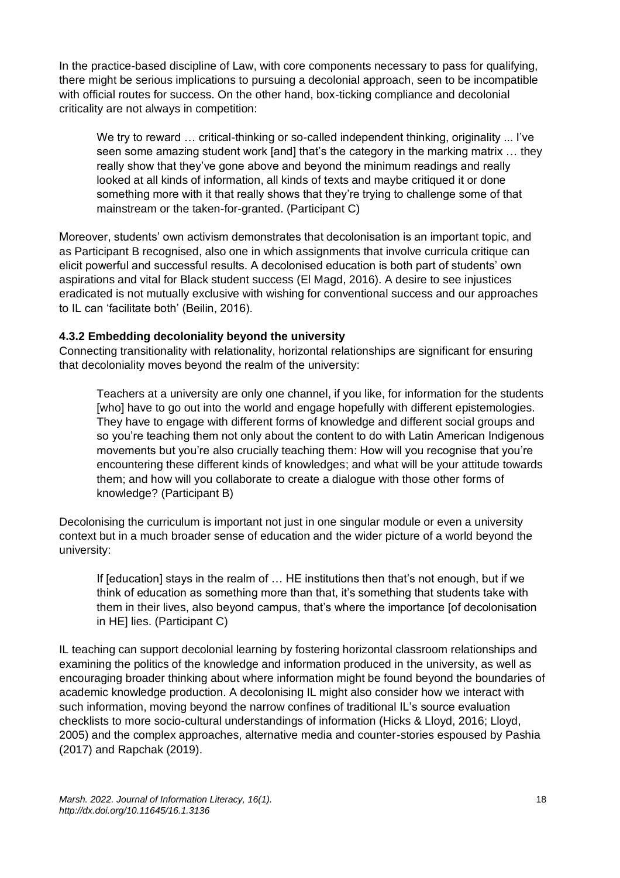In the practice-based discipline of Law, with core components necessary to pass for qualifying, there might be serious implications to pursuing a decolonial approach, seen to be incompatible with official routes for success. On the other hand, box-ticking compliance and decolonial criticality are not always in competition:

We try to reward ... critical-thinking or so-called independent thinking, originality ... I've seen some amazing student work [and] that's the category in the marking matrix … they really show that they've gone above and beyond the minimum readings and really looked at all kinds of information, all kinds of texts and maybe critiqued it or done something more with it that really shows that they're trying to challenge some of that mainstream or the taken-for-granted. (Participant C)

Moreover, students' own activism demonstrates that decolonisation is an important topic, and as Participant B recognised, also one in which assignments that involve curricula critique can elicit powerful and successful results. A decolonised education is both part of students' own aspirations and vital for Black student success (El Magd, 2016). A desire to see injustices eradicated is not mutually exclusive with wishing for conventional success and our approaches to IL can 'facilitate both' (Beilin, 2016).

#### **4.3.2 Embedding decoloniality beyond the university**

Connecting transitionality with relationality, horizontal relationships are significant for ensuring that decoloniality moves beyond the realm of the university:

Teachers at a university are only one channel, if you like, for information for the students [who] have to go out into the world and engage hopefully with different epistemologies. They have to engage with different forms of knowledge and different social groups and so you're teaching them not only about the content to do with Latin American Indigenous movements but you're also crucially teaching them: How will you recognise that you're encountering these different kinds of knowledges; and what will be your attitude towards them; and how will you collaborate to create a dialogue with those other forms of knowledge? (Participant B)

Decolonising the curriculum is important not just in one singular module or even a university context but in a much broader sense of education and the wider picture of a world beyond the university:

If [education] stays in the realm of … HE institutions then that's not enough, but if we think of education as something more than that, it's something that students take with them in their lives, also beyond campus, that's where the importance [of decolonisation in HE] lies. (Participant C)

IL teaching can support decolonial learning by fostering horizontal classroom relationships and examining the politics of the knowledge and information produced in the university, as well as encouraging broader thinking about where information might be found beyond the boundaries of academic knowledge production. A decolonising IL might also consider how we interact with such information, moving beyond the narrow confines of traditional IL's source evaluation checklists to more socio-cultural understandings of information (Hicks & Lloyd, 2016; Lloyd, 2005) and the complex approaches, alternative media and counter-stories espoused by Pashia (2017) and Rapchak (2019).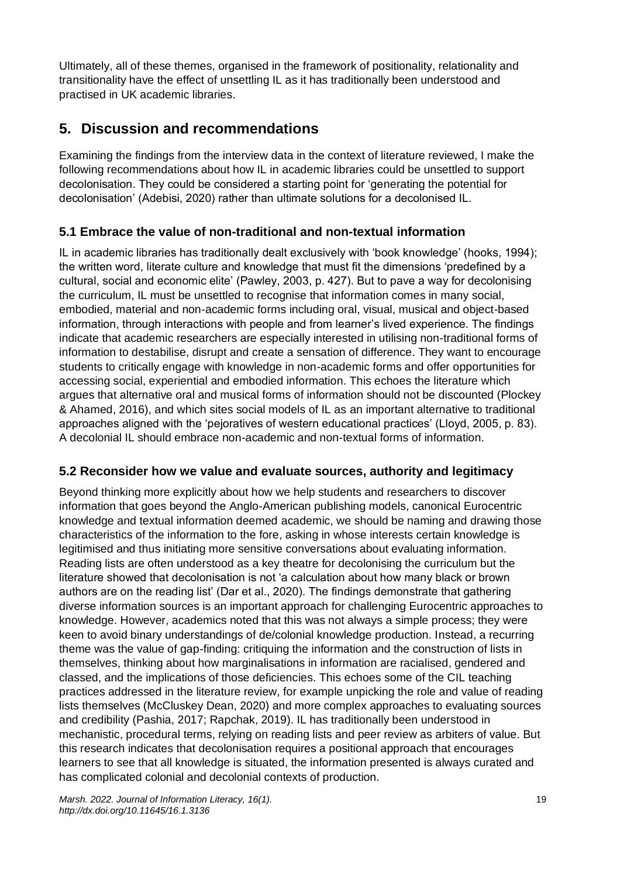Ultimately, all of these themes, organised in the framework of positionality, relationality and transitionality have the effect of unsettling IL as it has traditionally been understood and practised in UK academic libraries.

# **5. Discussion and recommendations**

Examining the findings from the interview data in the context of literature reviewed, I make the following recommendations about how IL in academic libraries could be unsettled to support decolonisation. They could be considered a starting point for 'generating the potential for decolonisation' (Adebisi, 2020) rather than ultimate solutions for a decolonised IL.

## **5.1 Embrace the value of non-traditional and non-textual information**

IL in academic libraries has traditionally dealt exclusively with 'book knowledge' (hooks, 1994); the written word, literate culture and knowledge that must fit the dimensions 'predefined by a cultural, social and economic elite' (Pawley, 2003, p. 427). But to pave a way for decolonising the curriculum, IL must be unsettled to recognise that information comes in many social, embodied, material and non-academic forms including oral, visual, musical and object-based information, through interactions with people and from learner's lived experience. The findings indicate that academic researchers are especially interested in utilising non-traditional forms of information to destabilise, disrupt and create a sensation of difference. They want to encourage students to critically engage with knowledge in non-academic forms and offer opportunities for accessing social, experiential and embodied information. This echoes the literature which argues that alternative oral and musical forms of information should not be discounted (Plockey & Ahamed, 2016), and which sites social models of IL as an important alternative to traditional approaches aligned with the 'pejoratives of western educational practices' (Lloyd, 2005, p. 83). A decolonial IL should embrace non-academic and non-textual forms of information.

### **5.2 Reconsider how we value and evaluate sources, authority and legitimacy**

Beyond thinking more explicitly about how we help students and researchers to discover information that goes beyond the Anglo-American publishing models, canonical Eurocentric knowledge and textual information deemed academic, we should be naming and drawing those characteristics of the information to the fore, asking in whose interests certain knowledge is legitimised and thus initiating more sensitive conversations about evaluating information. Reading lists are often understood as a key theatre for decolonising the curriculum but the literature showed that decolonisation is not 'a calculation about how many black or brown authors are on the reading list' (Dar et al., 2020). The findings demonstrate that gathering diverse information sources is an important approach for challenging Eurocentric approaches to knowledge. However, academics noted that this was not always a simple process; they were keen to avoid binary understandings of de/colonial knowledge production. Instead, a recurring theme was the value of gap-finding: critiquing the information and the construction of lists in themselves, thinking about how marginalisations in information are racialised, gendered and classed, and the implications of those deficiencies. This echoes some of the CIL teaching practices addressed in the literature review, for example unpicking the role and value of reading lists themselves (McCluskey Dean, 2020) and more complex approaches to evaluating sources and credibility (Pashia, 2017; Rapchak, 2019). IL has traditionally been understood in mechanistic, procedural terms, relying on reading lists and peer review as arbiters of value. But this research indicates that decolonisation requires a positional approach that encourages learners to see that all knowledge is situated, the information presented is always curated and has complicated colonial and decolonial contexts of production.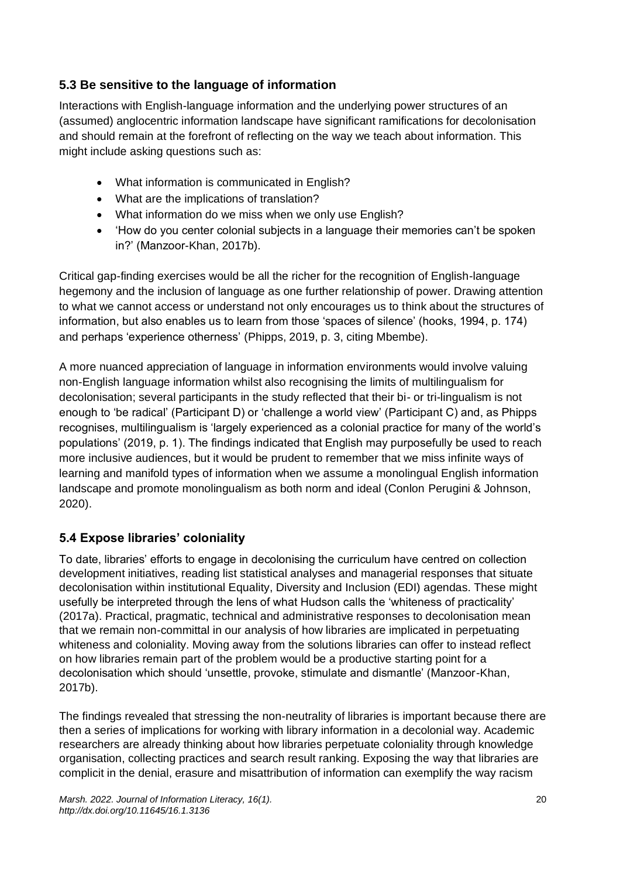# **5.3 Be sensitive to the language of information**

Interactions with English-language information and the underlying power structures of an (assumed) anglocentric information landscape have significant ramifications for decolonisation and should remain at the forefront of reflecting on the way we teach about information. This might include asking questions such as:

- What information is communicated in English?
- What are the implications of translation?
- What information do we miss when we only use English?
- 'How do you center colonial subjects in a language their memories can't be spoken in?' (Manzoor-Khan, 2017b).

Critical gap-finding exercises would be all the richer for the recognition of English-language hegemony and the inclusion of language as one further relationship of power. Drawing attention to what we cannot access or understand not only encourages us to think about the structures of information, but also enables us to learn from those 'spaces of silence' (hooks, 1994, p. 174) and perhaps 'experience otherness' (Phipps, 2019, p. 3, citing Mbembe).

A more nuanced appreciation of language in information environments would involve valuing non-English language information whilst also recognising the limits of multilingualism for decolonisation; several participants in the study reflected that their bi- or tri-lingualism is not enough to 'be radical' (Participant D) or 'challenge a world view' (Participant C) and, as Phipps recognises, multilingualism is 'largely experienced as a colonial practice for many of the world's populations' (2019, p. 1). The findings indicated that English may purposefully be used to reach more inclusive audiences, but it would be prudent to remember that we miss infinite ways of learning and manifold types of information when we assume a monolingual English information landscape and promote monolingualism as both norm and ideal (Conlon Perugini & Johnson, 2020).

# **5.4 Expose libraries' coloniality**

To date, libraries' efforts to engage in decolonising the curriculum have centred on collection development initiatives, reading list statistical analyses and managerial responses that situate decolonisation within institutional Equality, Diversity and Inclusion (EDI) agendas. These might usefully be interpreted through the lens of what Hudson calls the 'whiteness of practicality' (2017a). Practical, pragmatic, technical and administrative responses to decolonisation mean that we remain non-committal in our analysis of how libraries are implicated in perpetuating whiteness and coloniality. Moving away from the solutions libraries can offer to instead reflect on how libraries remain part of the problem would be a productive starting point for a decolonisation which should 'unsettle, provoke, stimulate and dismantle' (Manzoor-Khan, 2017b).

The findings revealed that stressing the non-neutrality of libraries is important because there are then a series of implications for working with library information in a decolonial way. Academic researchers are already thinking about how libraries perpetuate coloniality through knowledge organisation, collecting practices and search result ranking. Exposing the way that libraries are complicit in the denial, erasure and misattribution of information can exemplify the way racism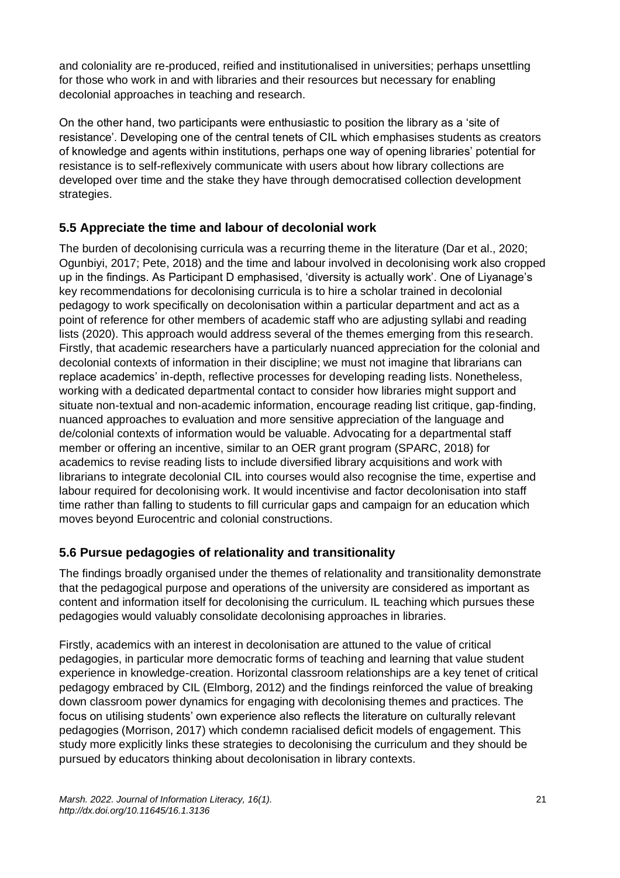and coloniality are re-produced, reified and institutionalised in universities; perhaps unsettling for those who work in and with libraries and their resources but necessary for enabling decolonial approaches in teaching and research.

On the other hand, two participants were enthusiastic to position the library as a 'site of resistance'. Developing one of the central tenets of CIL which emphasises students as creators of knowledge and agents within institutions, perhaps one way of opening libraries' potential for resistance is to self-reflexively communicate with users about how library collections are developed over time and the stake they have through democratised collection development strategies.

## **5.5 Appreciate the time and labour of decolonial work**

The burden of decolonising curricula was a recurring theme in the literature (Dar et al., 2020; Ogunbiyi, 2017; Pete, 2018) and the time and labour involved in decolonising work also cropped up in the findings. As Participant D emphasised, 'diversity is actually work'. One of Liyanage's key recommendations for decolonising curricula is to hire a scholar trained in decolonial pedagogy to work specifically on decolonisation within a particular department and act as a point of reference for other members of academic staff who are adjusting syllabi and reading lists (2020). This approach would address several of the themes emerging from this research. Firstly, that academic researchers have a particularly nuanced appreciation for the colonial and decolonial contexts of information in their discipline; we must not imagine that librarians can replace academics' in-depth, reflective processes for developing reading lists. Nonetheless, working with a dedicated departmental contact to consider how libraries might support and situate non-textual and non-academic information, encourage reading list critique, gap-finding, nuanced approaches to evaluation and more sensitive appreciation of the language and de/colonial contexts of information would be valuable. Advocating for a departmental staff member or offering an incentive, similar to an OER grant program (SPARC, 2018) for academics to revise reading lists to include diversified library acquisitions and work with librarians to integrate decolonial CIL into courses would also recognise the time, expertise and labour required for decolonising work. It would incentivise and factor decolonisation into staff time rather than falling to students to fill curricular gaps and campaign for an education which moves beyond Eurocentric and colonial constructions.

# **5.6 Pursue pedagogies of relationality and transitionality**

The findings broadly organised under the themes of relationality and transitionality demonstrate that the pedagogical purpose and operations of the university are considered as important as content and information itself for decolonising the curriculum. IL teaching which pursues these pedagogies would valuably consolidate decolonising approaches in libraries.

Firstly, academics with an interest in decolonisation are attuned to the value of critical pedagogies, in particular more democratic forms of teaching and learning that value student experience in knowledge-creation. Horizontal classroom relationships are a key tenet of critical pedagogy embraced by CIL (Elmborg, 2012) and the findings reinforced the value of breaking down classroom power dynamics for engaging with decolonising themes and practices. The focus on utilising students' own experience also reflects the literature on culturally relevant pedagogies (Morrison, 2017) which condemn racialised deficit models of engagement. This study more explicitly links these strategies to decolonising the curriculum and they should be pursued by educators thinking about decolonisation in library contexts.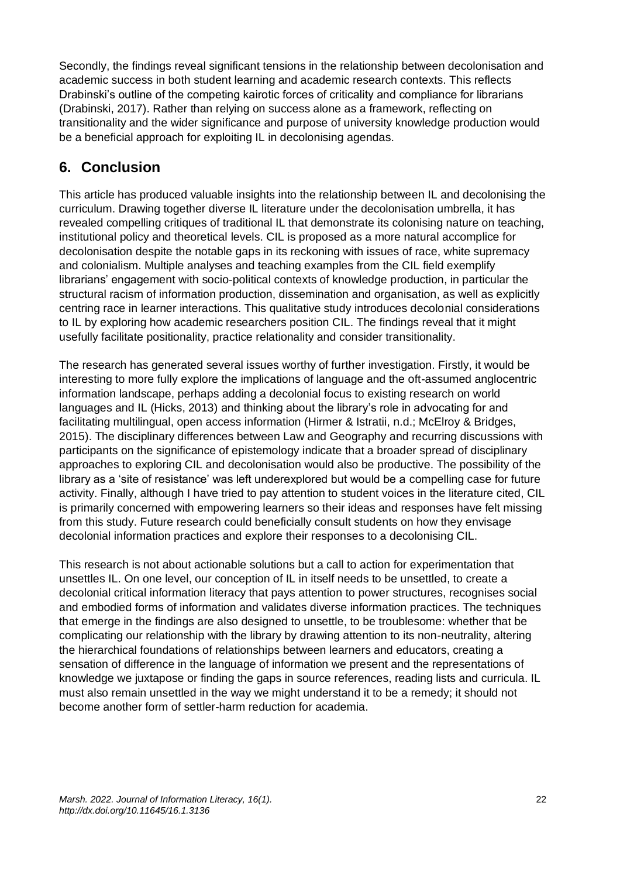Secondly, the findings reveal significant tensions in the relationship between decolonisation and academic success in both student learning and academic research contexts. This reflects Drabinski's outline of the competing kairotic forces of criticality and compliance for librarians (Drabinski, 2017). Rather than relying on success alone as a framework, reflecting on transitionality and the wider significance and purpose of university knowledge production would be a beneficial approach for exploiting IL in decolonising agendas.

# **6. Conclusion**

This article has produced valuable insights into the relationship between IL and decolonising the curriculum. Drawing together diverse IL literature under the decolonisation umbrella, it has revealed compelling critiques of traditional IL that demonstrate its colonising nature on teaching, institutional policy and theoretical levels. CIL is proposed as a more natural accomplice for decolonisation despite the notable gaps in its reckoning with issues of race, white supremacy and colonialism. Multiple analyses and teaching examples from the CIL field exemplify librarians' engagement with socio-political contexts of knowledge production, in particular the structural racism of information production, dissemination and organisation, as well as explicitly centring race in learner interactions. This qualitative study introduces decolonial considerations to IL by exploring how academic researchers position CIL. The findings reveal that it might usefully facilitate positionality, practice relationality and consider transitionality.

The research has generated several issues worthy of further investigation. Firstly, it would be interesting to more fully explore the implications of language and the oft-assumed anglocentric information landscape, perhaps adding a decolonial focus to existing research on world languages and IL (Hicks, 2013) and thinking about the library's role in advocating for and facilitating multilingual, open access information (Hirmer & Istratii, n.d.; McElroy & Bridges, 2015). The disciplinary differences between Law and Geography and recurring discussions with participants on the significance of epistemology indicate that a broader spread of disciplinary approaches to exploring CIL and decolonisation would also be productive. The possibility of the library as a 'site of resistance' was left underexplored but would be a compelling case for future activity. Finally, although I have tried to pay attention to student voices in the literature cited, CIL is primarily concerned with empowering learners so their ideas and responses have felt missing from this study. Future research could beneficially consult students on how they envisage decolonial information practices and explore their responses to a decolonising CIL.

This research is not about actionable solutions but a call to action for experimentation that unsettles IL. On one level, our conception of IL in itself needs to be unsettled, to create a decolonial critical information literacy that pays attention to power structures, recognises social and embodied forms of information and validates diverse information practices. The techniques that emerge in the findings are also designed to unsettle, to be troublesome: whether that be complicating our relationship with the library by drawing attention to its non-neutrality, altering the hierarchical foundations of relationships between learners and educators, creating a sensation of difference in the language of information we present and the representations of knowledge we juxtapose or finding the gaps in source references, reading lists and curricula. IL must also remain unsettled in the way we might understand it to be a remedy; it should not become another form of settler-harm reduction for academia.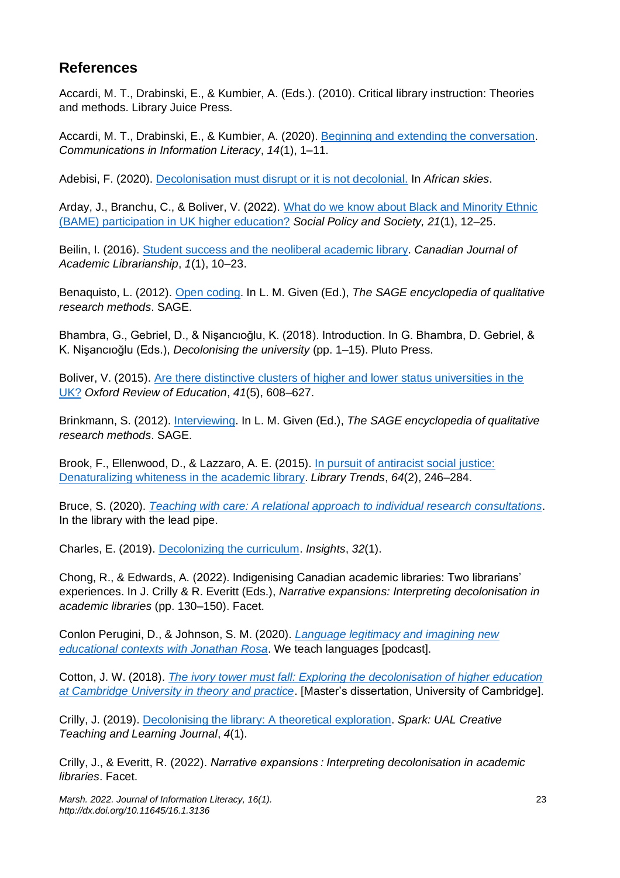# **References**

Accardi, M. T., Drabinski, E., & Kumbier, A. (Eds.). (2010). Critical library instruction: Theories and methods. Library Juice Press.

Accardi, M. T., Drabinski, E., & Kumbier, A. (2020). [Beginning and extending the conversation.](https://doi.org/10.15760/comminfolit.2020.14.1.1) *Communications in Information Literacy*, *14*(1), 1–11.

Adebisi, F. (2020). [Decolonisation must disrupt or it is not decolonial.](https://folukeafrica.com/decolonisation-must-disrupt-or-it-is-not-decolonial/) In *African skies*.

Arday, J., Branchu, C., & Boliver, V. (2022). [What do we know about Black and Minority Ethnic](https://doi.org/10.1017/S1474746421000579)  [\(BAME\) participation in UK higher education?](https://doi.org/10.1017/S1474746421000579) *Social Policy and Society, 21*(1), 12–25.

Beilin, I. (2016). [Student success and the neoliberal academic library.](https://cjal.ca/index.php/capal/article/view/24303/19480) *Canadian Journal of Academic Librarianship*, *1*(1), 10–23.

Benaquisto, L. (2012). [Open coding.](https://doi.org/10.4135/9781412963909.n299) In L. M. Given (Ed.), *The SAGE encyclopedia of qualitative research methods*. SAGE.

Bhambra, G., Gebriel, D., & Nişancıoğlu, K. (2018). Introduction. In G. Bhambra, D. Gebriel, & K. Nişancıoğlu (Eds.), *Decolonising the university* (pp. 1–15). Pluto Press.

Boliver, V. (2015). [Are there distinctive clusters of higher and lower status universities in the](https://doi.org/10.1080/03054985.2015.1082905)  [UK?](https://doi.org/10.1080/03054985.2015.1082905) *Oxford Review of Education*, *41*(5), 608–627.

Brinkmann, S. (2012)[. Interviewing.](https://doi.org/10.4135/9781412963909.n239) In L. M. Given (Ed.), *The SAGE encyclopedia of qualitative research methods*. SAGE.

Brook, F., Ellenwood, D., & Lazzaro, A. E. (2015). [In pursuit of antiracist social justice:](https://doi.org/10.1353/lib.2015.0048)  [Denaturalizing whiteness in the academic library.](https://doi.org/10.1353/lib.2015.0048) *Library Trends*, *64*(2), 246–284.

Bruce, S. (2020). *[Teaching with care: A relational approach to individual research consultations](http://www.inthelibrarywiththeleadpipe.org/2020/teaching-with-care/)*. In the library with the lead pipe.

Charles, E. (2019). [Decolonizing the curriculum.](https://doi.org/10.1629/uksg.475) *Insights*, *32*(1).

Chong, R., & Edwards, A. (2022). Indigenising Canadian academic libraries: Two librarians' experiences. In J. Crilly & R. Everitt (Eds.), *Narrative expansions: Interpreting decolonisation in academic libraries* (pp. 130–150). Facet.

Conlon Perugini, D., & Johnson, S. M. (2020). *[Language legitimacy and imagining new](https://weteachlang.com/2020/06/12/142-with-jonathan-rosa)  [educational contexts with Jonathan Rosa](https://weteachlang.com/2020/06/12/142-with-jonathan-rosa)*. We teach languages [podcast].

Cotton, J. W. (2018). *[The ivory tower must fall: Exploring the decolonisation of higher education](https://decolonisesociology.files.wordpress.com/2020/09/jwcotton_mphil-dissertation.pdf)  [at Cambridge University in theory and practice](https://decolonisesociology.files.wordpress.com/2020/09/jwcotton_mphil-dissertation.pdf)*. [Master's dissertation, University of Cambridge].

Crilly, J. (2019). [Decolonising the library: A](https://sparkjournal.arts.ac.uk/index.php/spark/article/view/123/190) theoretical exploration. *Spark: UAL Creative Teaching and Learning Journal*, *4*(1).

Crilly, J., & Everitt, R. (2022). *Narrative expansions : Interpreting decolonisation in academic libraries*. Facet.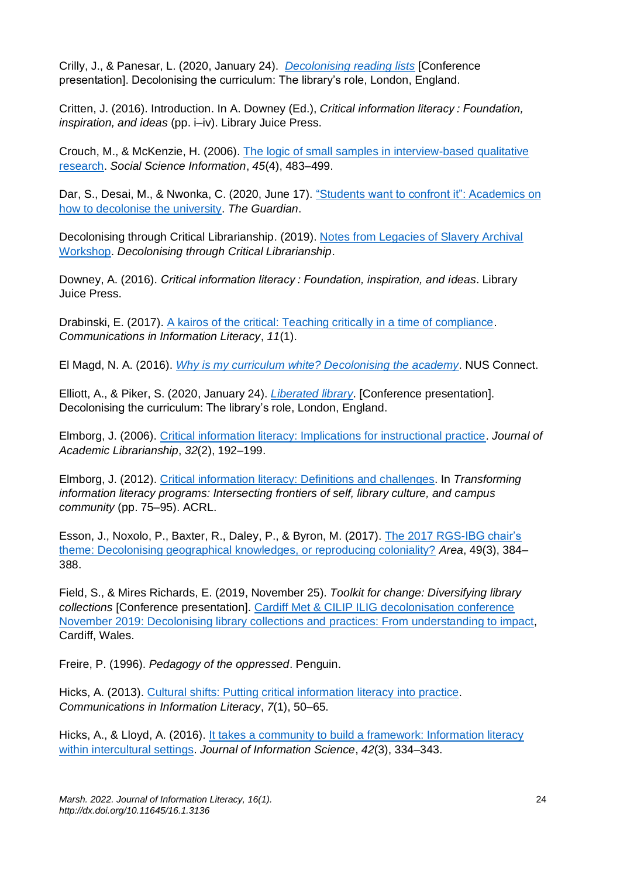Crilly, J., & Panesar, L. (2020, January 24). *[Decolonising reading lists](https://decolonisethelibrary.wordpress.com/liberating-reading-lists-jess-crilly-and-lucy-panesar-university-of-the-arts-london/)* [Conference presentation]. Decolonising the curriculum: The library's role, London, England.

Critten, J. (2016). Introduction. In A. Downey (Ed.), *Critical information literacy : Foundation, inspiration, and ideas* (pp. i–iv). Library Juice Press.

Crouch, M., & McKenzie, H. (2006). [The logic of small samples in interview-based qualitative](https://doi.org/10.1177/0539018406069584)  [research.](https://doi.org/10.1177/0539018406069584) *Social Science Information*, *45*(4), 483–499.

Dar, S., Desai, M., & Nwonka, C. (2020, June 17). "Students [want to confront it": Academics on](https://www.theguardian.com/education/2020/jun/17/students-want-to-confront-it-academics-on-how-to-decolonise-the-university)  [how to decolonise the university.](https://www.theguardian.com/education/2020/jun/17/students-want-to-confront-it-academics-on-how-to-decolonise-the-university) *The Guardian*.

Decolonising through Critical Librarianship. (2019). [Notes from Legacies of Slavery Archival](https://decolonisingthroughcriticallibrarianship.wordpress.com/2019/11/29/notes-from-legacies-of-slavery-archival-workshop/)  [Workshop.](https://decolonisingthroughcriticallibrarianship.wordpress.com/2019/11/29/notes-from-legacies-of-slavery-archival-workshop/) *Decolonising through Critical Librarianship*.

Downey, A. (2016). *Critical information literacy : Foundation, inspiration, and ideas*. Library Juice Press.

Drabinski, E. (2017). [A kairos of the critical: Teaching critically in a time of compliance.](https://doi.org/10.15760/comminfolit.2017.11.1.35) *Communications in Information Literacy*, *11*(1).

El Magd, N. A. (2016). *[Why is my curriculum white? Decolonising the academy](https://www.nusconnect.org.uk/articles/why-is-my-curriculum-white-decolonising-the-academy)*. NUS Connect.

Elliott, A., & Piker, S. (2020, January 24). *[Liberated library](https://decolonisethelibrary.wordpress.com/liberated-library-abigail-elliott-and-samuel-piker-brunel-university-of-london/)*. [Conference presentation]. Decolonising the curriculum: The library's role, London, England.

Elmborg, J. (2006). [Critical information literacy: Implications for instructional practice.](https://doi.org/10.1016/j.acalib.2005.12.004) *Journal of Academic Librarianship*, *32*(2), 192–199.

Elmborg, J. (2012). [Critical information literacy: Definitions and challenges.](https://iro.uiowa.edu/esploro/outputs/9983557574202771) In *Transforming information literacy programs: Intersecting frontiers of self, library culture, and campus community* (pp. 75–95). ACRL.

Esson, J., Noxolo, P., Baxter, R., Daley, P., & Byron, M. (2017). [The 2017 RGS-IBG chair's](https://doi.org/10.1111/AREA.12371)  [theme: Decolonising geographical knowledges, or reproducing coloniality?](https://doi.org/10.1111/AREA.12371) *Area*, 49(3), 384– 388.

Field, S., & Mires Richards, E. (2019, November 25). *Toolkit for change: Diversifying library collections* [Conference presentation]. [Cardiff Met & CILIP ILIG decolonisation conference](https://padlet.com/jim_finch8472/cnryftdmavot)  [November 2019: Decolonising library collections and practices: From understanding to impact,](https://padlet.com/jim_finch8472/cnryftdmavot) Cardiff, Wales.

Freire, P. (1996). *Pedagogy of the oppressed*. Penguin.

Hicks, A. (2013). [Cultural shifts: Putting critical information literacy into practice.](https://doi.org/10.15760/comminfolit.2013.7.1.134) *Communications in Information Literacy*, *7*(1), 50–65.

Hicks, A., & Lloyd, A. (2016). [It takes a community to build a framework: Information literacy](https://doi.org/10.1177/0165551510000000)  [within intercultural settings.](https://doi.org/10.1177/0165551510000000) *Journal of Information Science*, *42*(3), 334–343.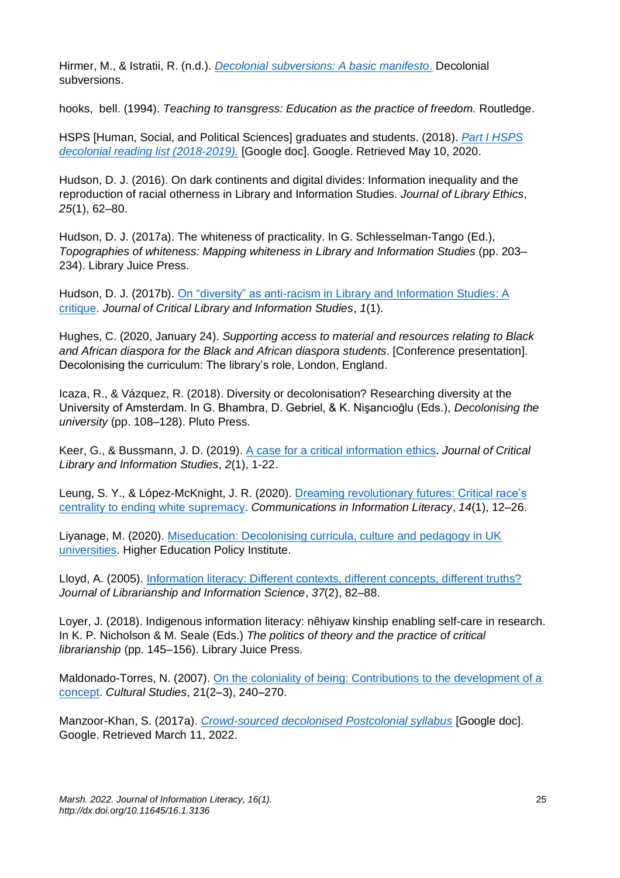Hirmer, M., & Istratii, R. (n.d.). *[Decolonial subversions: A basic manifesto](http://decolonialsubversions.org/manifesto.html)*. Decolonial subversions.

hooks, bell. (1994). *Teaching to transgress: Education as the practice of freedom.* Routledge.

HSPS [Human, Social, and Political Sciences] graduates and students. (2018). *[Part I HSPS](https://docs.google.com/document/d/1s3nIXibK680_y_xhau3vbrVQ7WFVKocjKI1Vy2r81A0/)  [decolonial reading list \(2018-2019\).](https://docs.google.com/document/d/1s3nIXibK680_y_xhau3vbrVQ7WFVKocjKI1Vy2r81A0/)* [Google doc]. Google. Retrieved May 10, 2020.

Hudson, D. J. (2016). On dark continents and digital divides: Information inequality and the reproduction of racial otherness in Library and Information Studies. *Journal of Library Ethics*, *25*(1), 62–80.

Hudson, D. J. (2017a). The whiteness of practicality. In G. Schlesselman-Tango (Ed.), *Topographies of whiteness: Mapping whiteness in Library and Information Studies* (pp. 203– 234). Library Juice Press.

Hudson, D. J. (2017b). [On "diversity" as anti-racism in Library and Information Studies: A](https://doi.org/10.24242/jclis.v1i1.6)  [critique.](https://doi.org/10.24242/jclis.v1i1.6) *Journal of Critical Library and Information Studies*, *1*(1).

Hughes, C. (2020, January 24). *Supporting access to material and resources relating to Black and African diaspora for the Black and African diaspora students*. [Conference presentation]. Decolonising the curriculum: The library's role, London, England.

Icaza, R., & Vázquez, R. (2018). Diversity or decolonisation? Researching diversity at the University of Amsterdam. In G. Bhambra, D. Gebriel, & K. Nişancıoğlu (Eds.), *Decolonising the university* (pp. 108–128). Pluto Press.

Keer, G., & Bussmann, J. D. (2019). [A case for a critical information ethics.](https://doi.org/10.24242/jclis.v2i1.57) *Journal of Critical Library and Information Studies*, *2*(1), 1-22.

Leung, S. Y., & López-McKnight, J. R. (2020). [Dreaming revolutionary futures: Critical race's](https://doi.org/10.15760/comminfolit.2020.14.1.2)  centrality [to ending white supremacy.](https://doi.org/10.15760/comminfolit.2020.14.1.2) *Communications in Information Literacy*, *14*(1), 12–26.

Liyanage, M. (2020). [Miseducation: Decolonising curricula, culture and pedagogy in UK](https://www.hepi.ac.uk/wp-content/uploads/2020/07/HEPI_Miseducation_Debate-Paper-23_FINAL.pdf)  [universities.](https://www.hepi.ac.uk/wp-content/uploads/2020/07/HEPI_Miseducation_Debate-Paper-23_FINAL.pdf) Higher Education Policy Institute.

Lloyd, A. (2005). [Information literacy: Different contexts, different concepts, different truths?](https://doi.org/10.1177/0961000605055355) *Journal of Librarianship and Information Science*, *37*(2), 82–88.

Loyer, J. (2018). Indigenous information literacy: nêhiyaw kinship enabling self-care in research. In K. P. Nicholson & M. Seale (Eds.) *The politics of theory and the practice of critical librarianship* (pp. 145–156). Library Juice Press.

Maldonado-Torres, N. (2007). [On the coloniality of being: Contributions to the development of a](https://doi.org/10.1080/09502380601162548)  [concept.](https://doi.org/10.1080/09502380601162548) *Cultural Studies*, 21(2–3), 240–270.

Manzoor-Khan, S. (2017a). *[Crowd-sourced decolonised Postcolonial syllabus](https://docs.google.com/document/d/17A2N8BLrsFkmV33H6uYDSZzVk4GvNdqG2dwzhzzHx9I/edit)* [Google doc]. Google. Retrieved March 11, 2022.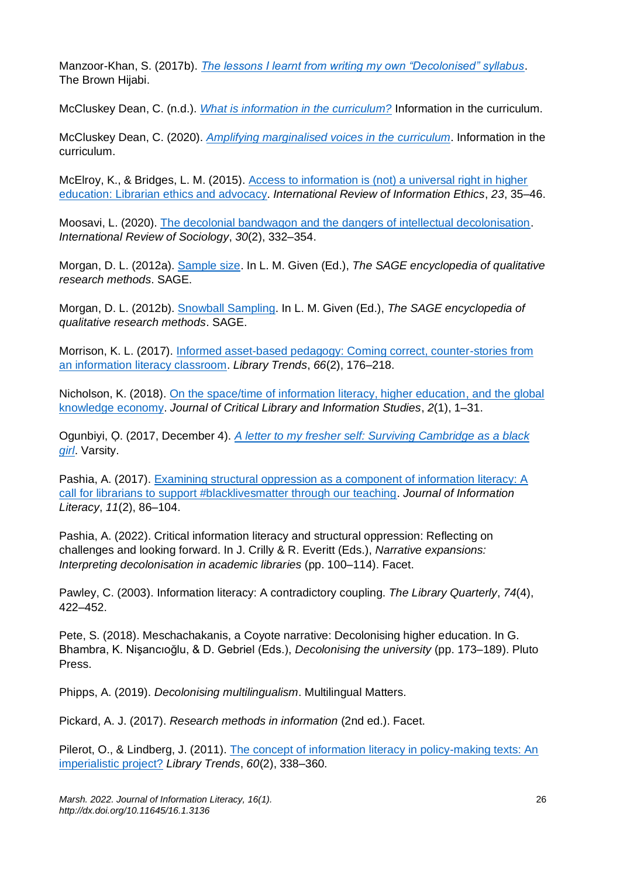Manzoor-Khan, S. (2017b). *[The lessons I learnt from writing my own "Decolonised" syllabus](https://thebrownhijabi.com/2017/11/01/the-lessons-i-learnt-from-writing-my-own-decolonised-syllabus/)*. The Brown Hijabi.

McCluskey Dean, C. (n.d.). *[What is information in the curriculum?](https://blog.yorksj.ac.uk/infoincurriculum/)* Information in the curriculum.

McCluskey Dean, C. (2020). *[Amplifying marginalised voices in the](https://blog.yorksj.ac.uk/infoincurriculum/2020/03/03/amplifying-marginalised-voices-in-the-curriculum/) curriculum*. Information in the curriculum.

McElroy, K., & Bridges, L. M. (2015). [Access to information is \(not\) a universal right in higher](https://ir.library.oregonstate.edu/concern/articles/p5547t122?locale=en)  [education: Librarian ethics and](https://ir.library.oregonstate.edu/concern/articles/p5547t122?locale=en) advocacy. *International Review of Information Ethics*, *23*, 35–46.

Moosavi, L. (2020). [The decolonial bandwagon and the dangers of intellectual decolonisation.](https://doi.org/10.1080/03906701.2020.1776919) *International Review of Sociology*, *30*(2), 332–354.

Morgan, D. L. (2012a). [Sample size.](https://dx.doi.org/10.4135/9781412963909.n412) In L. M. Given (Ed.), *The SAGE encyclopedia of qualitative research methods*. SAGE.

Morgan, D. L. (2012b). [Snowball Sampling.](https://doi.org/10.4135/9781412963909.n425) In L. M. Given (Ed.), *The SAGE encyclopedia of qualitative research methods*. SAGE.

Morrison, K. L. (2017). [Informed asset-based pedagogy: Coming correct, counter-stories from](https://doi.org/10.1353/lib.2017.0034)  [an information literacy classroom.](https://doi.org/10.1353/lib.2017.0034) *Library Trends*, *66*(2), 176–218.

Nicholson, K. (2018). [On the space/time of information literacy, higher education, and the global](https://doi.org/10.24242/jclis.v2i1.86)  [knowledge economy.](https://doi.org/10.24242/jclis.v2i1.86) *Journal of Critical Library and Information Studies*, *2*(1), 1–31.

Ogunbiyi, Ọ. (2017, December 4). *[A letter to my fresher self: Surviving Cambridge as a black](https://www.varsity.co.uk/features/14214)  [girl](https://www.varsity.co.uk/features/14214)*. Varsity.

Pashia, A. (2017). [Examining structural oppression as a component of information literacy: A](https://doi.org/10.11645/11.2.2245)  [call for librarians to support #blacklivesmatter through our teaching.](https://doi.org/10.11645/11.2.2245) *Journal of Information Literacy*, *11*(2), 86–104.

Pashia, A. (2022). Critical information literacy and structural oppression: Reflecting on challenges and looking forward. In J. Crilly & R. Everitt (Eds.), *Narrative expansions: Interpreting decolonisation in academic libraries* (pp. 100–114). Facet.

Pawley, C. (2003). Information literacy: A contradictory coupling. *The Library Quarterly*, *74*(4), 422–452.

Pete, S. (2018). Meschachakanis, a Coyote narrative: Decolonising higher education. In G. Bhambra, K. Nişancıoğlu, & D. Gebriel (Eds.), *Decolonising the university* (pp. 173–189). Pluto Press.

Phipps, A. (2019). *Decolonising multilingualism*. Multilingual Matters.

Pickard, A. J. (2017). *Research methods in information* (2nd ed.). Facet.

Pilerot, O., & Lindberg, J. (2011). [The concept of information literacy in policy-making texts: An](https://doi.org/10.1353/lib.2011.0040)  [imperialistic project?](https://doi.org/10.1353/lib.2011.0040) *Library Trends*, *60*(2), 338–360.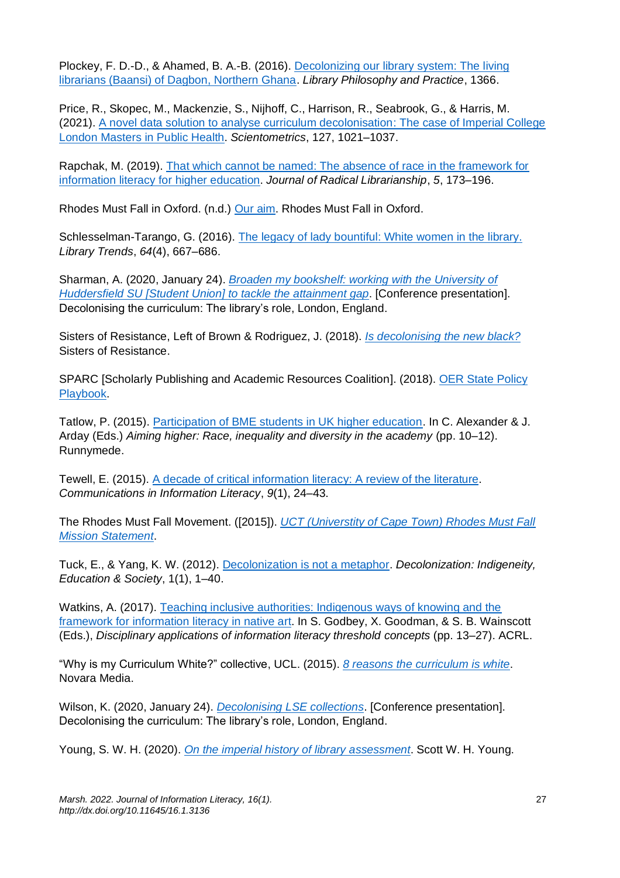Plockey, F. D.-D., & Ahamed, B. A.-B. (2016). [Decolonizing our library system: The living](https://digitalcommons.unl.edu/libphilprac/1366) [librarians \(Baansi\) of Dagbon, Northern Ghana.](https://digitalcommons.unl.edu/libphilprac/1366) *Library Philosophy and Practice*, 1366.

Price, R., Skopec, M., Mackenzie, S., Nijhoff, C., Harrison, R., Seabrook, G., & Harris, M. (2021). [A novel data solution to analyse curriculum decolonisation: The case of Imperial College](https://link.springer.com/article/10.1007/s11192-021-04231-3)  [London Masters in Public Health.](https://link.springer.com/article/10.1007/s11192-021-04231-3) *Scientometrics*, 127, 1021–1037.

Rapchak, M. (2019). That which cannot be named: [The absence of race in the framework for](https://journal.radicallibrarianship.org/index.php/journal/article/view/33)  [information literacy for higher education.](https://journal.radicallibrarianship.org/index.php/journal/article/view/33) *Journal of Radical Librarianship*, *5*, 173–196.

Rhodes Must Fall in Oxford. (n.d.) [Our aim.](https://rmfoxford.wordpress.com/about/) Rhodes Must Fall in Oxford.

Schlesselman-Tarango, G. (2016). [The legacy of lady bountiful: White women in the library.](https://doi.org/10.1353/lib.2016.0015) *Library Trends*, *64*(4), 667–686.

Sharman, A. (2020, January 24). *[Broaden my bookshelf: working with the University of](https://decolonisethelibrary.wordpress.com/broaden-my-bookshelf-working-with-the-university-of-huddersfield-su-to-tackle-the-attainment-gap-alison-sharman-university-of-huddersfield/)  Huddersfield SU [Student Union] [to tackle the attainment gap](https://decolonisethelibrary.wordpress.com/broaden-my-bookshelf-working-with-the-university-of-huddersfield-su-to-tackle-the-attainment-gap-alison-sharman-university-of-huddersfield/)*. [Conference presentation]. Decolonising the curriculum: The library's role, London, England.

Sisters of Resistance, Left of Brown & Rodriguez, J. (2018). *Is [decolonising the new black?](https://sistersofresistance.wordpress.com/2018/07/12/is-decolonizing-the-new-black/)* Sisters of Resistance.

SPARC [Scholarly Publishing and Academic Resources Coalition]. (2018). [OER State Policy](https://sparcopen.org/our-work/state-policy-tracking/)  [Playbook.](https://sparcopen.org/our-work/state-policy-tracking/)

Tatlow, P. (2015). [Participation of BME students in UK higher education.](https://www.bl.uk/collection-items/aiming-higher-race-inequality-and-diversity-in-the-academy) In C. Alexander & J. Arday (Eds.) *Aiming higher: Race, inequality and diversity in the academy* (pp. 10–12). Runnymede.

Tewell, E. (2015). [A decade of critical information literacy: A review of the literature.](https://pdxscholar.library.pdx.edu/comminfolit/vol9/iss1/2/) *Communications in Information Literacy*, *9*(1), 24–43.

The Rhodes Must Fall Movement. ([2015]). *[UCT \(Universtity of Cape Town\) Rhodes Must Fall](https://www.lse.ac.uk/sociology/assets/documents/events/UCT-Rhodes-Must-Fall-Statement.pdf)  [Mission Statement](https://www.lse.ac.uk/sociology/assets/documents/events/UCT-Rhodes-Must-Fall-Statement.pdf)*.

Tuck, E., & Yang, K. W. (2012). [Decolonization is not a metaphor.](https://jps.library.utoronto.ca/index.php/des/article/view/18630/15554) *Decolonization: Indigeneity, Education & Society*, 1(1), 1–40.

Watkins, A. (2017). [Teaching inclusive authorities: Indigenous ways of knowing and the](https://scholar.colorado.edu/concern/book_chapters/j38607609)  [framework for information literacy in native art.](https://scholar.colorado.edu/concern/book_chapters/j38607609) In S. Godbey, X. Goodman, & S. B. Wainscott (Eds.), *Disciplinary applications of information literacy threshold concepts* (pp. 13–27). ACRL.

"Why is my Curriculum White?" collective, UCL. (2015). *[8 reasons the curriculum is white](https://novaramedia.com/2015/03/23/8-reasons-the-curriculum-is-white/)*. Novara Media.

Wilson, K. (2020, January 24). *[Decolonising LSE collections](https://decolonisethelibrary.wordpress.com/decolonising-lse-collections-kevin-wilsonlondon-school-of-economics/)*. [Conference presentation]. Decolonising the curriculum: The library's role, London, England.

Young, S. W. H. (2020). *[On the imperial history of library assessment](https://scottwhyoung.com/posts/imperial-library-assessment)*. Scott W. H. Young.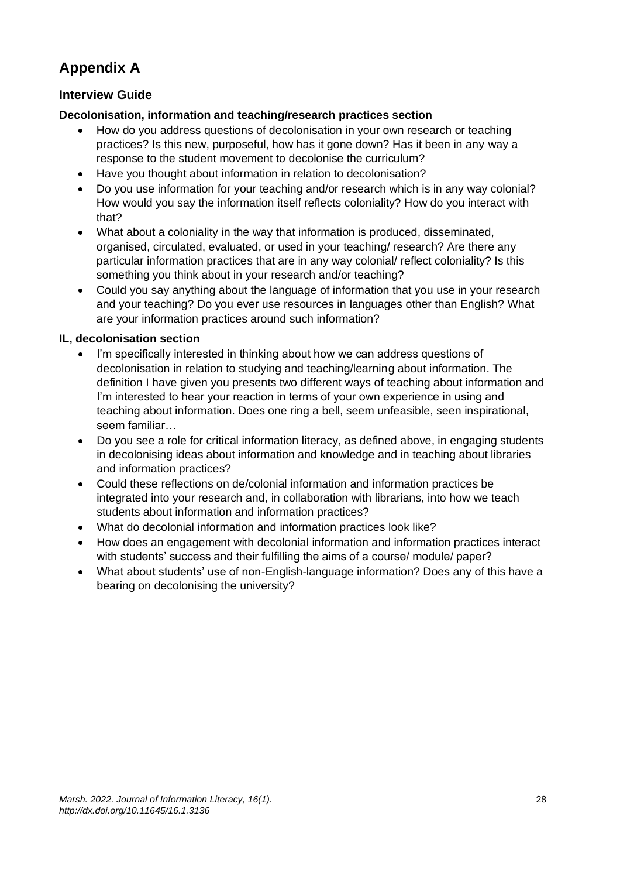# **Appendix A**

## **Interview Guide**

#### **Decolonisation, information and teaching/research practices section**

- How do you address questions of decolonisation in your own research or teaching practices? Is this new, purposeful, how has it gone down? Has it been in any way a response to the student movement to decolonise the curriculum?
- Have you thought about information in relation to decolonisation?
- Do you use information for your teaching and/or research which is in any way colonial? How would you say the information itself reflects coloniality? How do you interact with that?
- What about a coloniality in the way that information is produced, disseminated, organised, circulated, evaluated, or used in your teaching/ research? Are there any particular information practices that are in any way colonial/ reflect coloniality? Is this something you think about in your research and/or teaching?
- Could you say anything about the language of information that you use in your research and your teaching? Do you ever use resources in languages other than English? What are your information practices around such information?

#### **IL, decolonisation section**

- I'm specifically interested in thinking about how we can address questions of decolonisation in relation to studying and teaching/learning about information. The definition I have given you presents two different ways of teaching about information and I'm interested to hear your reaction in terms of your own experience in using and teaching about information. Does one ring a bell, seem unfeasible, seen inspirational, seem familiar…
- Do you see a role for critical information literacy, as defined above, in engaging students in decolonising ideas about information and knowledge and in teaching about libraries and information practices?
- Could these reflections on de/colonial information and information practices be integrated into your research and, in collaboration with librarians, into how we teach students about information and information practices?
- What do decolonial information and information practices look like?
- How does an engagement with decolonial information and information practices interact with students' success and their fulfilling the aims of a course/ module/ paper?
- What about students' use of non-English-language information? Does any of this have a bearing on decolonising the university?